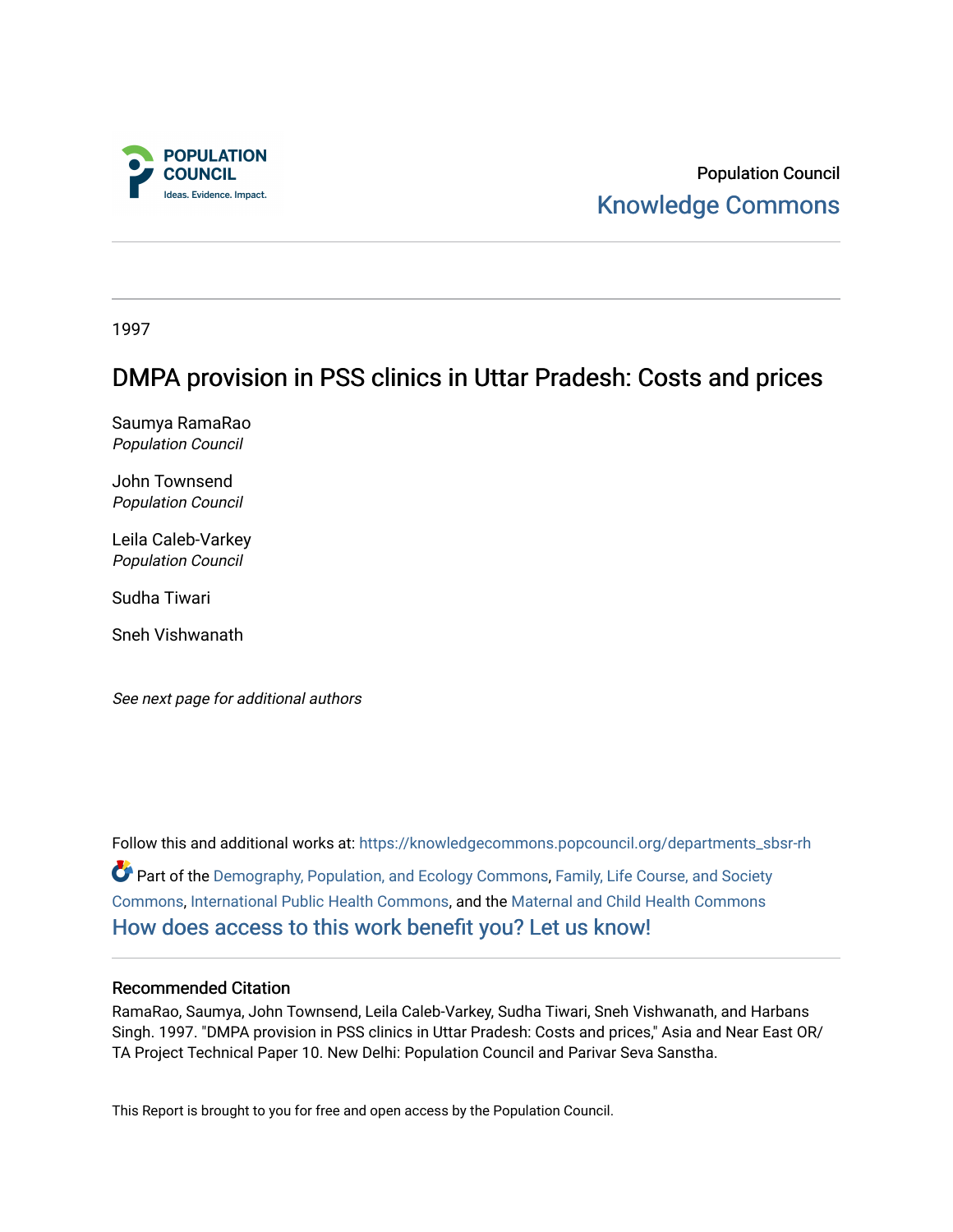

Population Council [Knowledge Commons](https://knowledgecommons.popcouncil.org/) 

1997

# DMPA provision in PSS clinics in Uttar Pradesh: Costs and prices

Saumya RamaRao Population Council

John Townsend Population Council

Leila Caleb-Varkey Population Council

Sudha Tiwari

Sneh Vishwanath

See next page for additional authors

Follow this and additional works at: [https://knowledgecommons.popcouncil.org/departments\\_sbsr-rh](https://knowledgecommons.popcouncil.org/departments_sbsr-rh?utm_source=knowledgecommons.popcouncil.org%2Fdepartments_sbsr-rh%2F2041&utm_medium=PDF&utm_campaign=PDFCoverPages)  Part of the [Demography, Population, and Ecology Commons,](https://network.bepress.com/hgg/discipline/418?utm_source=knowledgecommons.popcouncil.org%2Fdepartments_sbsr-rh%2F2041&utm_medium=PDF&utm_campaign=PDFCoverPages) [Family, Life Course, and Society](https://network.bepress.com/hgg/discipline/419?utm_source=knowledgecommons.popcouncil.org%2Fdepartments_sbsr-rh%2F2041&utm_medium=PDF&utm_campaign=PDFCoverPages)  [Commons](https://network.bepress.com/hgg/discipline/419?utm_source=knowledgecommons.popcouncil.org%2Fdepartments_sbsr-rh%2F2041&utm_medium=PDF&utm_campaign=PDFCoverPages), [International Public Health Commons,](https://network.bepress.com/hgg/discipline/746?utm_source=knowledgecommons.popcouncil.org%2Fdepartments_sbsr-rh%2F2041&utm_medium=PDF&utm_campaign=PDFCoverPages) and the [Maternal and Child Health Commons](https://network.bepress.com/hgg/discipline/745?utm_source=knowledgecommons.popcouncil.org%2Fdepartments_sbsr-rh%2F2041&utm_medium=PDF&utm_campaign=PDFCoverPages) [How does access to this work benefit you? Let us know!](https://pcouncil.wufoo.com/forms/open-access-to-population-council-research/)

#### Recommended Citation

RamaRao, Saumya, John Townsend, Leila Caleb-Varkey, Sudha Tiwari, Sneh Vishwanath, and Harbans Singh. 1997. "DMPA provision in PSS clinics in Uttar Pradesh: Costs and prices," Asia and Near East OR/ TA Project Technical Paper 10. New Delhi: Population Council and Parivar Seva Sanstha.

This Report is brought to you for free and open access by the Population Council.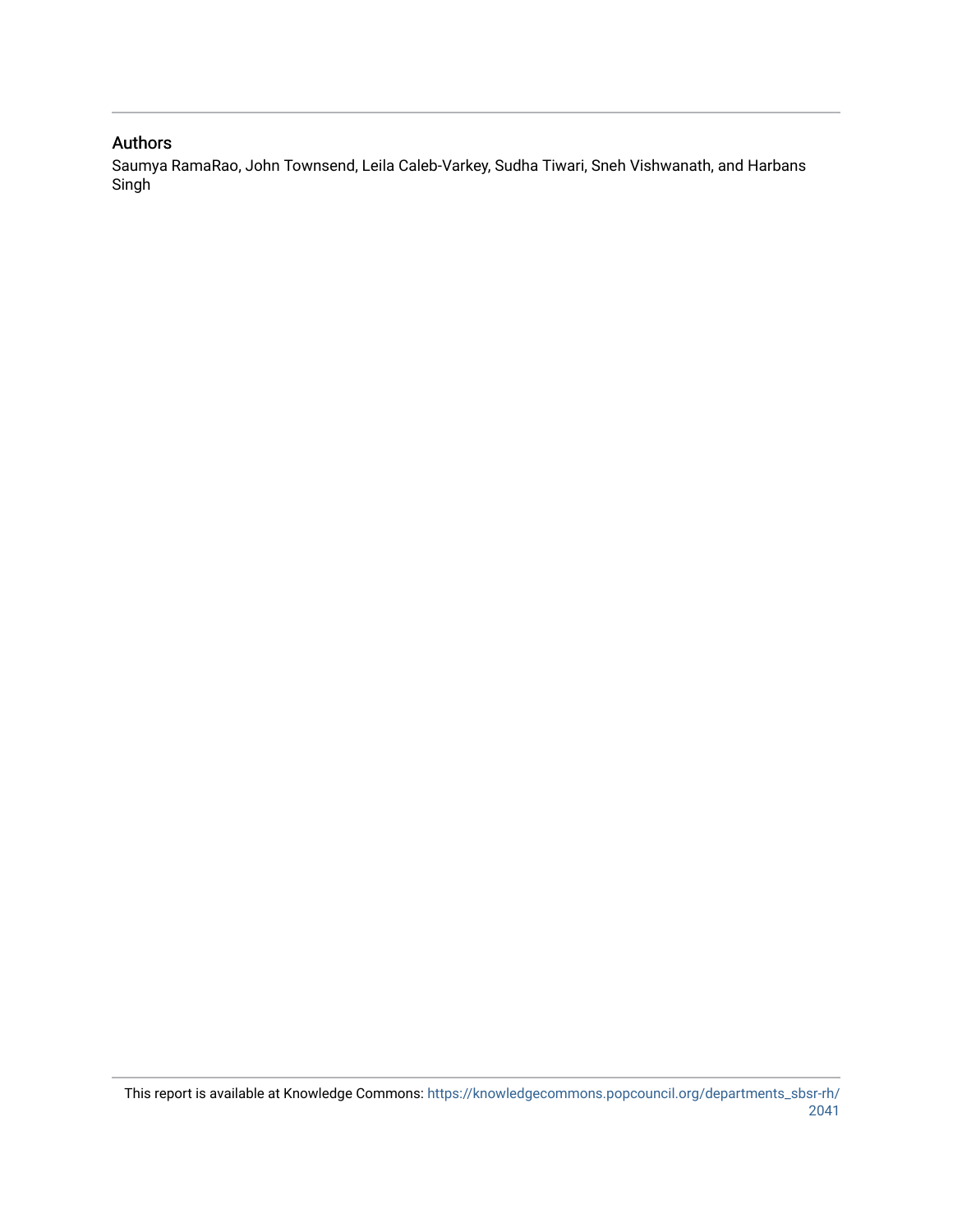#### Authors

Saumya RamaRao, John Townsend, Leila Caleb-Varkey, Sudha Tiwari, Sneh Vishwanath, and Harbans Singh<sup>1</sup>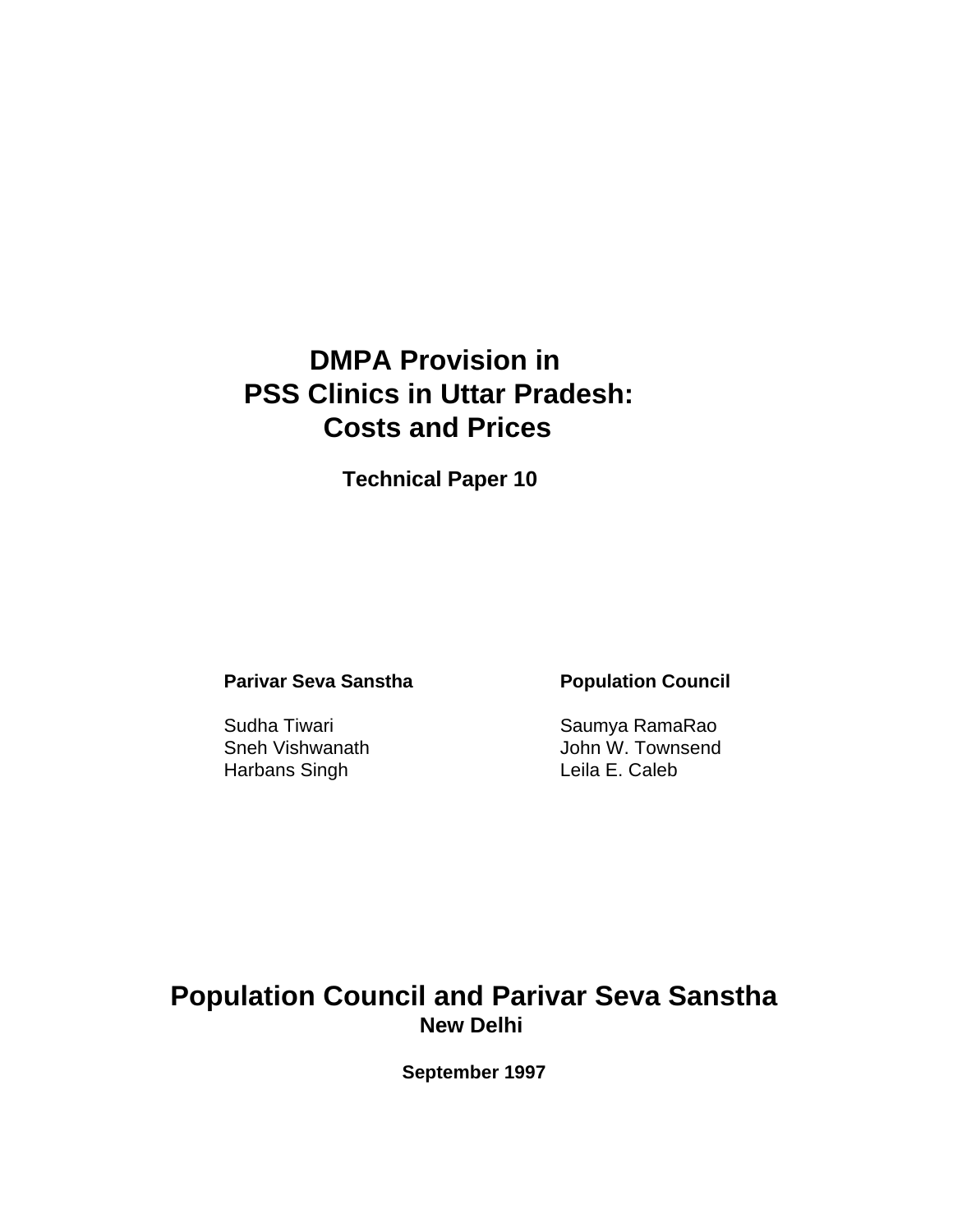# **DMPA Provision in PSS Clinics in Uttar Pradesh: Costs and Prices**

**Technical Paper 10**

# **Parivar Seva Sanstha Population Council**

Harbans Singh **Leila E. Caleb** 

Sudha Tiwari **Sudha Tiwari** Saumya RamaRao Sneh Vishwanath John W. Townsend

# **Population Council and Parivar Seva Sanstha New Delhi**

**September 1997**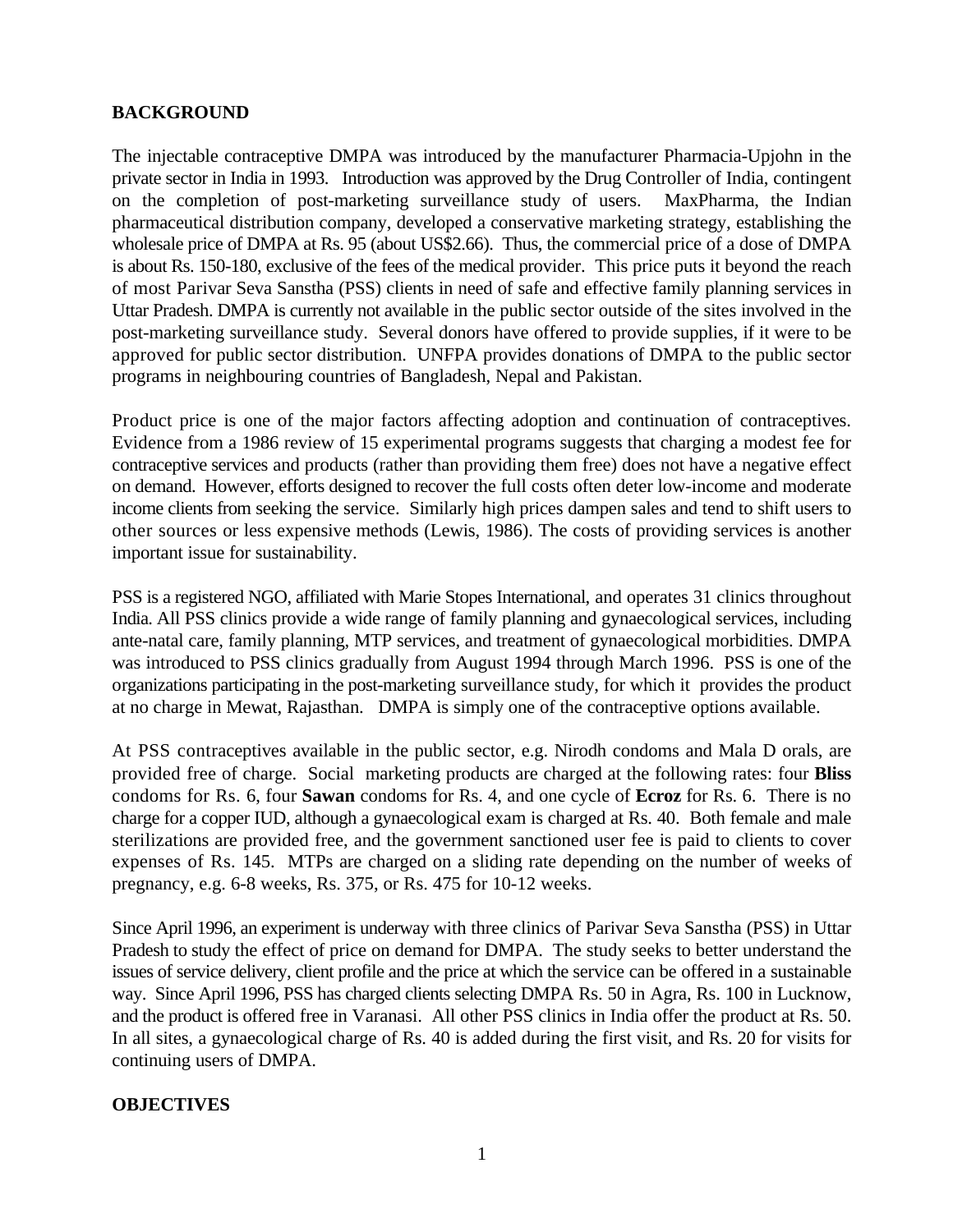# **BACKGROUND**

The injectable contraceptive DMPA was introduced by the manufacturer Pharmacia-Upjohn in the private sector in India in 1993. Introduction was approved by the Drug Controller of India, contingent on the completion of post-marketing surveillance study of users. MaxPharma, the Indian pharmaceutical distribution company, developed a conservative marketing strategy, establishing the wholesale price of DMPA at Rs. 95 (about US\$2.66). Thus, the commercial price of a dose of DMPA is about Rs. 150-180, exclusive of the fees of the medical provider. This price puts it beyond the reach of most Parivar Seva Sanstha (PSS) clients in need of safe and effective family planning services in Uttar Pradesh. DMPA is currently not available in the public sector outside of the sites involved in the post-marketing surveillance study. Several donors have offered to provide supplies, if it were to be approved for public sector distribution. UNFPA provides donations of DMPA to the public sector programs in neighbouring countries of Bangladesh, Nepal and Pakistan.

Product price is one of the major factors affecting adoption and continuation of contraceptives. Evidence from a 1986 review of 15 experimental programs suggests that charging a modest fee for contraceptive services and products (rather than providing them free) does not have a negative effect on demand. However, efforts designed to recover the full costs often deter low-income and moderate income clients from seeking the service. Similarly high prices dampen sales and tend to shift users to other sources or less expensive methods (Lewis, 1986). The costs of providing services is another important issue for sustainability.

PSS is a registered NGO, affiliated with Marie Stopes International, and operates 31 clinics throughout India. All PSS clinics provide a wide range of family planning and gynaecological services, including ante-natal care, family planning, MTP services, and treatment of gynaecological morbidities. DMPA was introduced to PSS clinics gradually from August 1994 through March 1996. PSS is one of the organizations participating in the post-marketing surveillance study, for which it provides the product at no charge in Mewat, Rajasthan. DMPA is simply one of the contraceptive options available.

At PSS contraceptives available in the public sector, e.g. Nirodh condoms and Mala D orals, are provided free of charge. Social marketing products are charged at the following rates: four **Bliss** condoms for Rs. 6, four **Sawan** condoms for Rs. 4, and one cycle of **Ecroz** for Rs. 6. There is no charge for a copper IUD, although a gynaecological exam is charged at Rs. 40. Both female and male sterilizations are provided free, and the government sanctioned user fee is paid to clients to cover expenses of Rs. 145. MTPs are charged on a sliding rate depending on the number of weeks of pregnancy, e.g. 6-8 weeks, Rs. 375, or Rs. 475 for 10-12 weeks.

Since April 1996, an experiment is underway with three clinics of Parivar Seva Sanstha (PSS) in Uttar Pradesh to study the effect of price on demand for DMPA. The study seeks to better understand the issues of service delivery, client profile and the price at which the service can be offered in a sustainable way. Since April 1996, PSS has charged clients selecting DMPA Rs. 50 in Agra, Rs. 100 in Lucknow, and the product is offered free in Varanasi. All other PSS clinics in India offer the product at Rs. 50. In all sites, a gynaecological charge of Rs. 40 is added during the first visit, and Rs. 20 for visits for continuing users of DMPA.

#### **OBJECTIVES**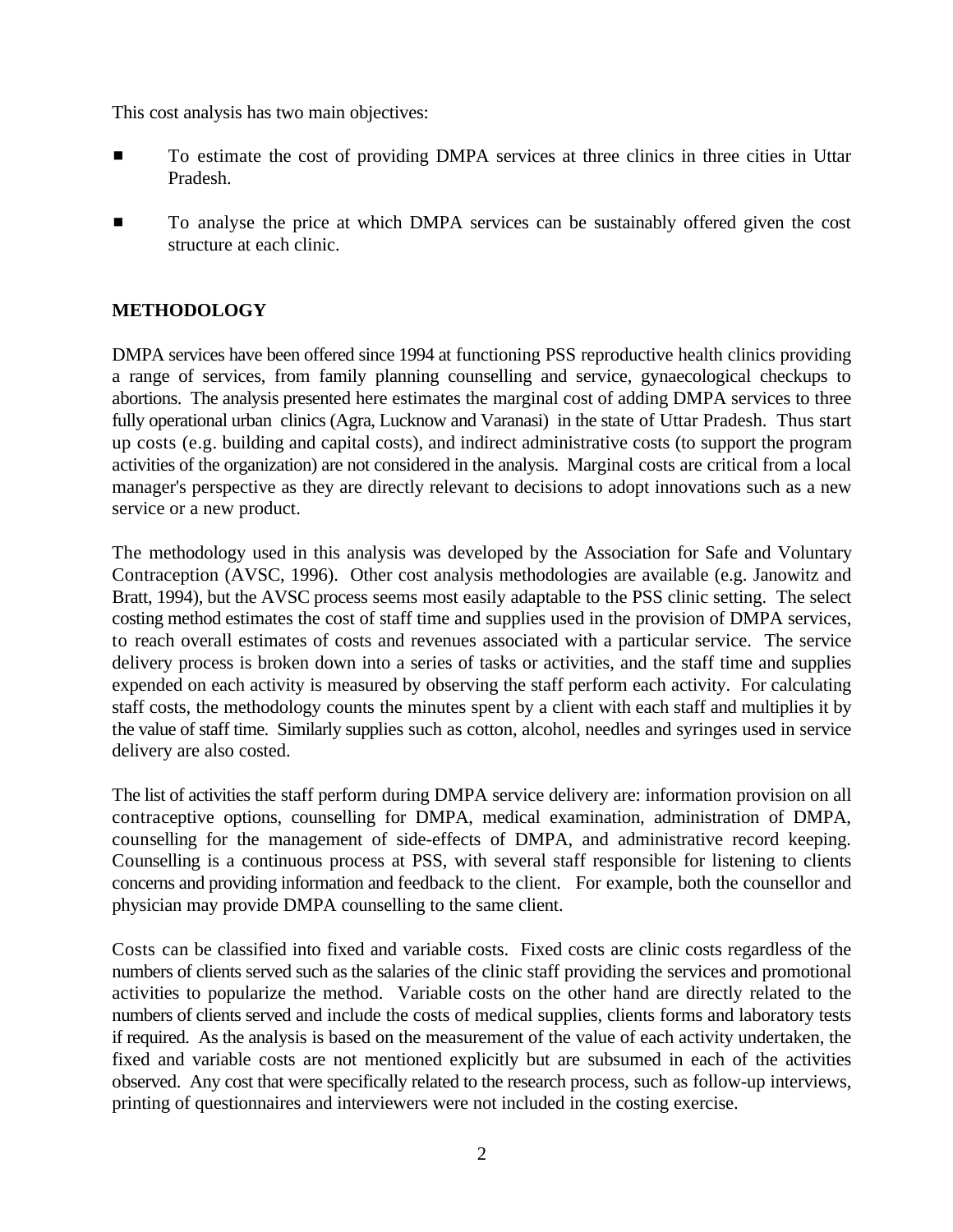This cost analysis has two main objectives:

- # To estimate the cost of providing DMPA services at three clinics in three cities in Uttar Pradesh.
- To analyse the price at which DMPA services can be sustainably offered given the cost structure at each clinic.

# **METHODOLOGY**

DMPA services have been offered since 1994 at functioning PSS reproductive health clinics providing a range of services, from family planning counselling and service, gynaecological checkups to abortions. The analysis presented here estimates the marginal cost of adding DMPA services to three fully operational urban clinics (Agra, Lucknow and Varanasi) in the state of Uttar Pradesh. Thus start up costs (e.g. building and capital costs), and indirect administrative costs (to support the program activities of the organization) are not considered in the analysis. Marginal costs are critical from a local manager's perspective as they are directly relevant to decisions to adopt innovations such as a new service or a new product.

The methodology used in this analysis was developed by the Association for Safe and Voluntary Contraception (AVSC, 1996). Other cost analysis methodologies are available (e.g. Janowitz and Bratt, 1994), but the AVSC process seems most easily adaptable to the PSS clinic setting. The select costing method estimates the cost of staff time and supplies used in the provision of DMPA services, to reach overall estimates of costs and revenues associated with a particular service. The service delivery process is broken down into a series of tasks or activities, and the staff time and supplies expended on each activity is measured by observing the staff perform each activity. For calculating staff costs, the methodology counts the minutes spent by a client with each staff and multiplies it by the value of staff time. Similarly supplies such as cotton, alcohol, needles and syringes used in service delivery are also costed.

The list of activities the staff perform during DMPA service delivery are: information provision on all contraceptive options, counselling for DMPA, medical examination, administration of DMPA, counselling for the management of side-effects of DMPA, and administrative record keeping. Counselling is a continuous process at PSS, with several staff responsible for listening to clients concerns and providing information and feedback to the client. For example, both the counsellor and physician may provide DMPA counselling to the same client.

Costs can be classified into fixed and variable costs. Fixed costs are clinic costs regardless of the numbers of clients served such as the salaries of the clinic staff providing the services and promotional activities to popularize the method. Variable costs on the other hand are directly related to the numbers of clients served and include the costs of medical supplies, clients forms and laboratory tests if required. As the analysis is based on the measurement of the value of each activity undertaken, the fixed and variable costs are not mentioned explicitly but are subsumed in each of the activities observed. Any cost that were specifically related to the research process, such as follow-up interviews, printing of questionnaires and interviewers were not included in the costing exercise.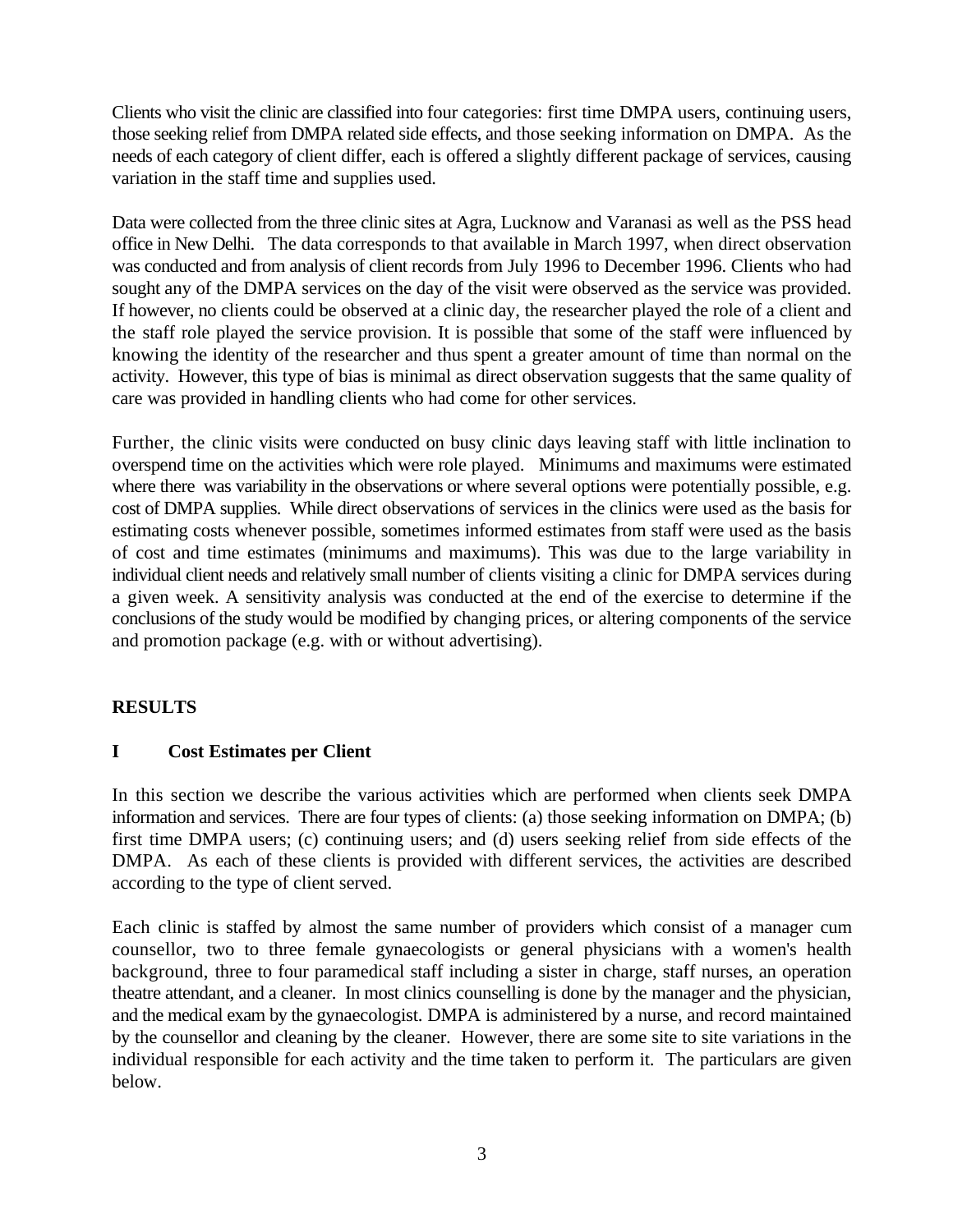Clients who visit the clinic are classified into four categories: first time DMPA users, continuing users, those seeking relief from DMPA related side effects, and those seeking information on DMPA. As the needs of each category of client differ, each is offered a slightly different package of services, causing variation in the staff time and supplies used.

Data were collected from the three clinic sites at Agra, Lucknow and Varanasi as well as the PSS head office in New Delhi. The data corresponds to that available in March 1997, when direct observation was conducted and from analysis of client records from July 1996 to December 1996. Clients who had sought any of the DMPA services on the day of the visit were observed as the service was provided. If however, no clients could be observed at a clinic day, the researcher played the role of a client and the staff role played the service provision. It is possible that some of the staff were influenced by knowing the identity of the researcher and thus spent a greater amount of time than normal on the activity. However, this type of bias is minimal as direct observation suggests that the same quality of care was provided in handling clients who had come for other services.

Further, the clinic visits were conducted on busy clinic days leaving staff with little inclination to overspend time on the activities which were role played. Minimums and maximums were estimated where there was variability in the observations or where several options were potentially possible, e.g. cost of DMPA supplies. While direct observations of services in the clinics were used as the basis for estimating costs whenever possible, sometimes informed estimates from staff were used as the basis of cost and time estimates (minimums and maximums). This was due to the large variability in individual client needs and relatively small number of clients visiting a clinic for DMPA services during a given week. A sensitivity analysis was conducted at the end of the exercise to determine if the conclusions of the study would be modified by changing prices, or altering components of the service and promotion package (e.g. with or without advertising).

# **RESULTS**

#### **I Cost Estimates per Client**

In this section we describe the various activities which are performed when clients seek DMPA information and services. There are four types of clients: (a) those seeking information on DMPA; (b) first time DMPA users; (c) continuing users; and (d) users seeking relief from side effects of the DMPA. As each of these clients is provided with different services, the activities are described according to the type of client served.

Each clinic is staffed by almost the same number of providers which consist of a manager cum counsellor, two to three female gynaecologists or general physicians with a women's health background, three to four paramedical staff including a sister in charge, staff nurses, an operation theatre attendant, and a cleaner. In most clinics counselling is done by the manager and the physician, and the medical exam by the gynaecologist. DMPA is administered by a nurse, and record maintained by the counsellor and cleaning by the cleaner. However, there are some site to site variations in the individual responsible for each activity and the time taken to perform it. The particulars are given below.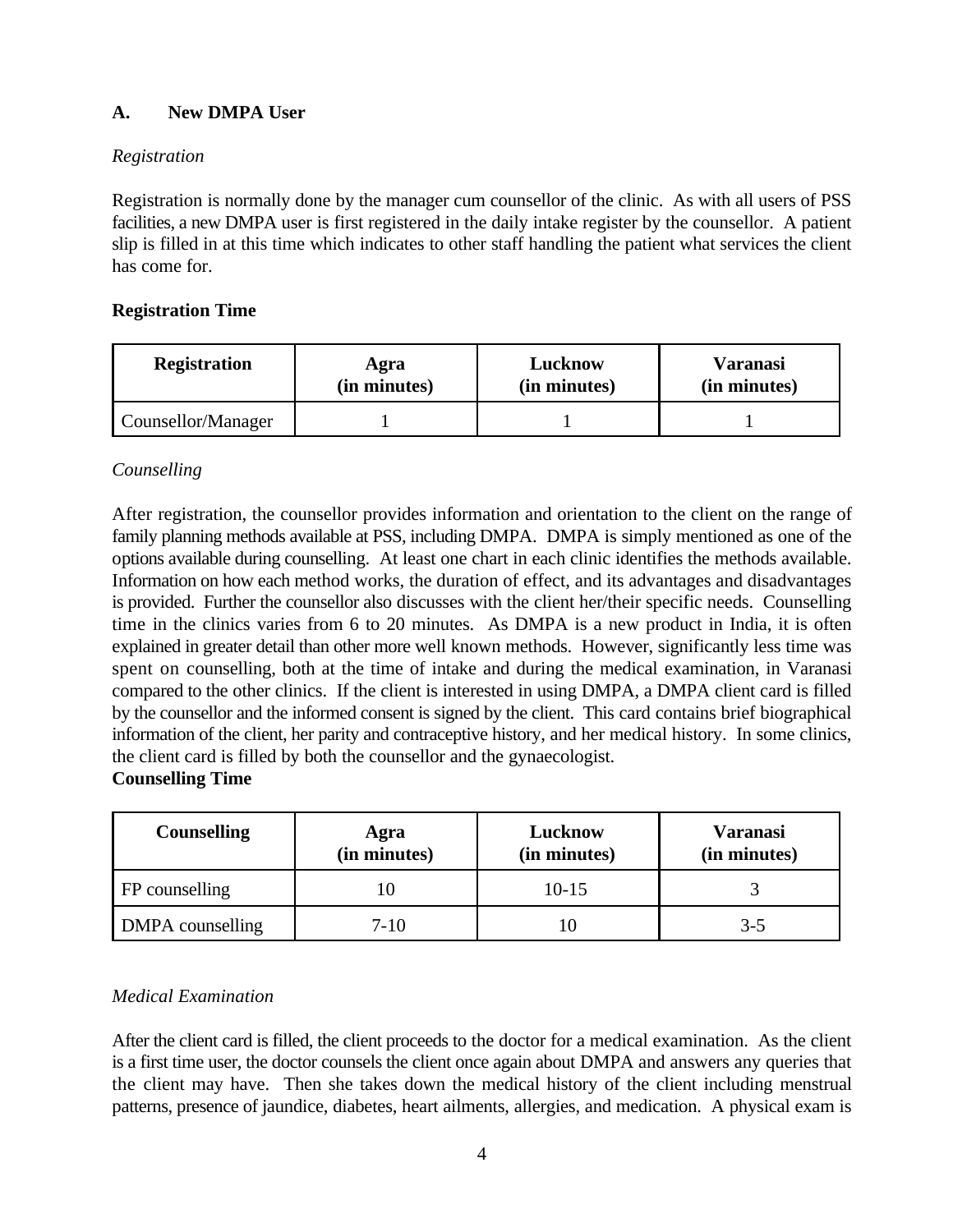# **A. New DMPA User**

# *Registration*

Registration is normally done by the manager cum counsellor of the clinic. As with all users of PSS facilities, a new DMPA user is first registered in the daily intake register by the counsellor. A patient slip is filled in at this time which indicates to other staff handling the patient what services the client has come for.

# **Registration Time**

| <b>Registration</b> | Agra         | Lucknow      | Varanasi     |
|---------------------|--------------|--------------|--------------|
|                     | (in minutes) | (in minutes) | (in minutes) |
| Counsellor/Manager  |              |              |              |

# *Counselling*

After registration, the counsellor provides information and orientation to the client on the range of family planning methods available at PSS, including DMPA. DMPA is simply mentioned as one of the options available during counselling. At least one chart in each clinic identifies the methods available. Information on how each method works, the duration of effect, and its advantages and disadvantages is provided. Further the counsellor also discusses with the client her/their specific needs. Counselling time in the clinics varies from 6 to 20 minutes. As DMPA is a new product in India, it is often explained in greater detail than other more well known methods. However, significantly less time was spent on counselling, both at the time of intake and during the medical examination, in Varanasi compared to the other clinics. If the client is interested in using DMPA, a DMPA client card is filled by the counsellor and the informed consent is signed by the client. This card contains brief biographical information of the client, her parity and contraceptive history, and her medical history. In some clinics, the client card is filled by both the counsellor and the gynaecologist.

# **Counselling Time**

| <b>Counselling</b> | Agra<br>(in minutes) | Lucknow<br>(in minutes) | <b>Varanasi</b><br>(in minutes) |
|--------------------|----------------------|-------------------------|---------------------------------|
| FP counselling     |                      | $10 - 15$               |                                 |
| DMPA counselling   | 7-10                 |                         | 3-5                             |

# *Medical Examination*

After the client card is filled, the client proceeds to the doctor for a medical examination. As the client is a first time user, the doctor counsels the client once again about DMPA and answers any queries that the client may have. Then she takes down the medical history of the client including menstrual patterns, presence of jaundice, diabetes, heart ailments, allergies, and medication. A physical exam is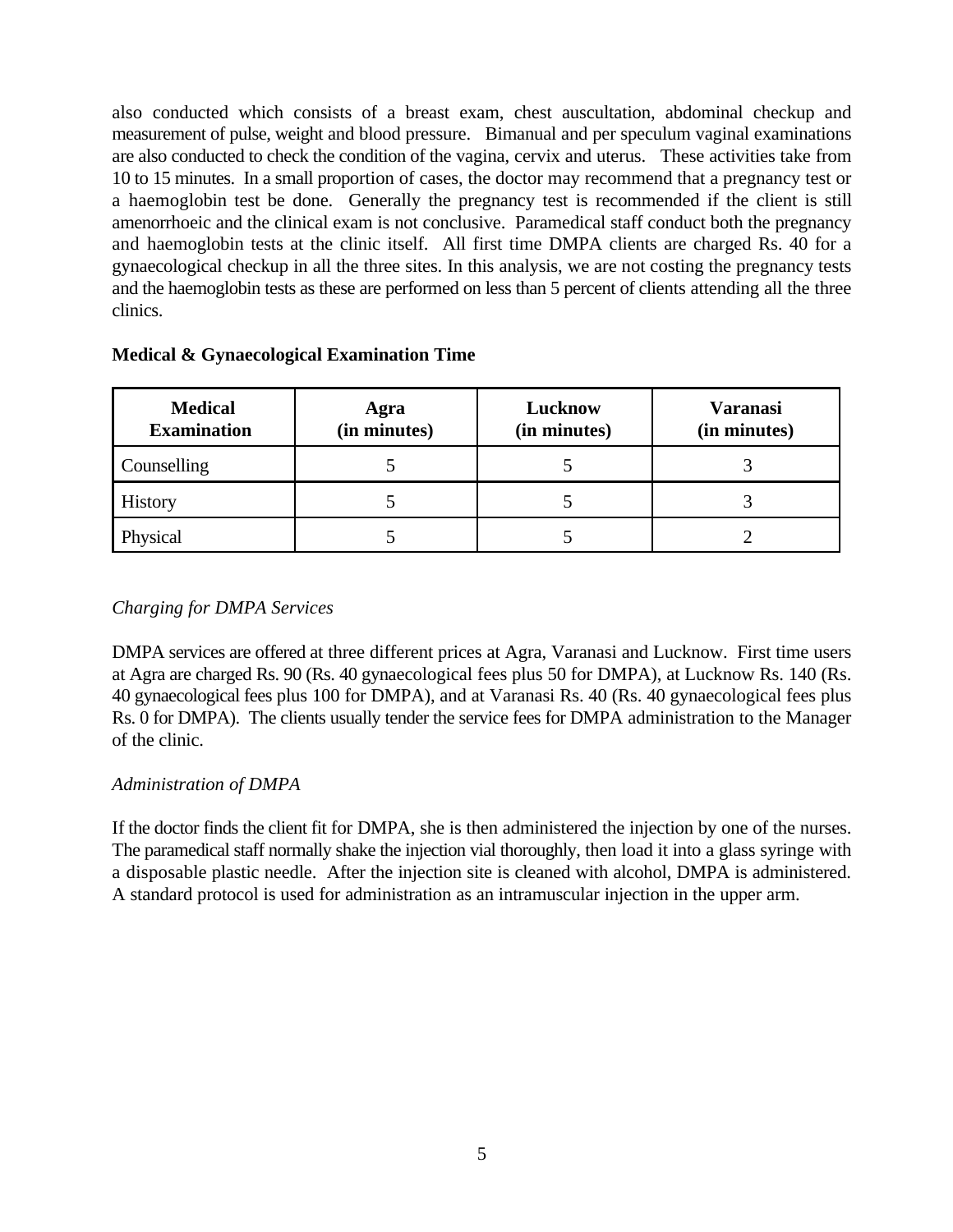also conducted which consists of a breast exam, chest auscultation, abdominal checkup and measurement of pulse, weight and blood pressure. Bimanual and per speculum vaginal examinations are also conducted to check the condition of the vagina, cervix and uterus. These activities take from 10 to 15 minutes. In a small proportion of cases, the doctor may recommend that a pregnancy test or a haemoglobin test be done. Generally the pregnancy test is recommended if the client is still amenorrhoeic and the clinical exam is not conclusive. Paramedical staff conduct both the pregnancy and haemoglobin tests at the clinic itself. All first time DMPA clients are charged Rs. 40 for a gynaecological checkup in all the three sites. In this analysis, we are not costing the pregnancy tests and the haemoglobin tests as these are performed on less than 5 percent of clients attending all the three clinics.

|  | <b>Medical &amp; Gynaecological Examination Time</b> |  |  |  |  |  |  |
|--|------------------------------------------------------|--|--|--|--|--|--|
|--|------------------------------------------------------|--|--|--|--|--|--|

| <b>Medical</b><br><b>Examination</b> | Agra<br>(in minutes) | Lucknow<br>(in minutes) | <b>Varanasi</b><br>(in minutes) |
|--------------------------------------|----------------------|-------------------------|---------------------------------|
| Counselling                          |                      |                         |                                 |
| History                              |                      |                         |                                 |
| Physical                             |                      |                         |                                 |

#### *Charging for DMPA Services*

DMPA services are offered at three different prices at Agra, Varanasi and Lucknow. First time users at Agra are charged Rs. 90 (Rs. 40 gynaecological fees plus 50 for DMPA), at Lucknow Rs. 140 (Rs. 40 gynaecological fees plus 100 for DMPA), and at Varanasi Rs. 40 (Rs. 40 gynaecological fees plus Rs. 0 for DMPA). The clients usually tender the service fees for DMPA administration to the Manager of the clinic.

# *Administration of DMPA*

If the doctor finds the client fit for DMPA, she is then administered the injection by one of the nurses. The paramedical staff normally shake the injection vial thoroughly, then load it into a glass syringe with a disposable plastic needle. After the injection site is cleaned with alcohol, DMPA is administered. A standard protocol is used for administration as an intramuscular injection in the upper arm.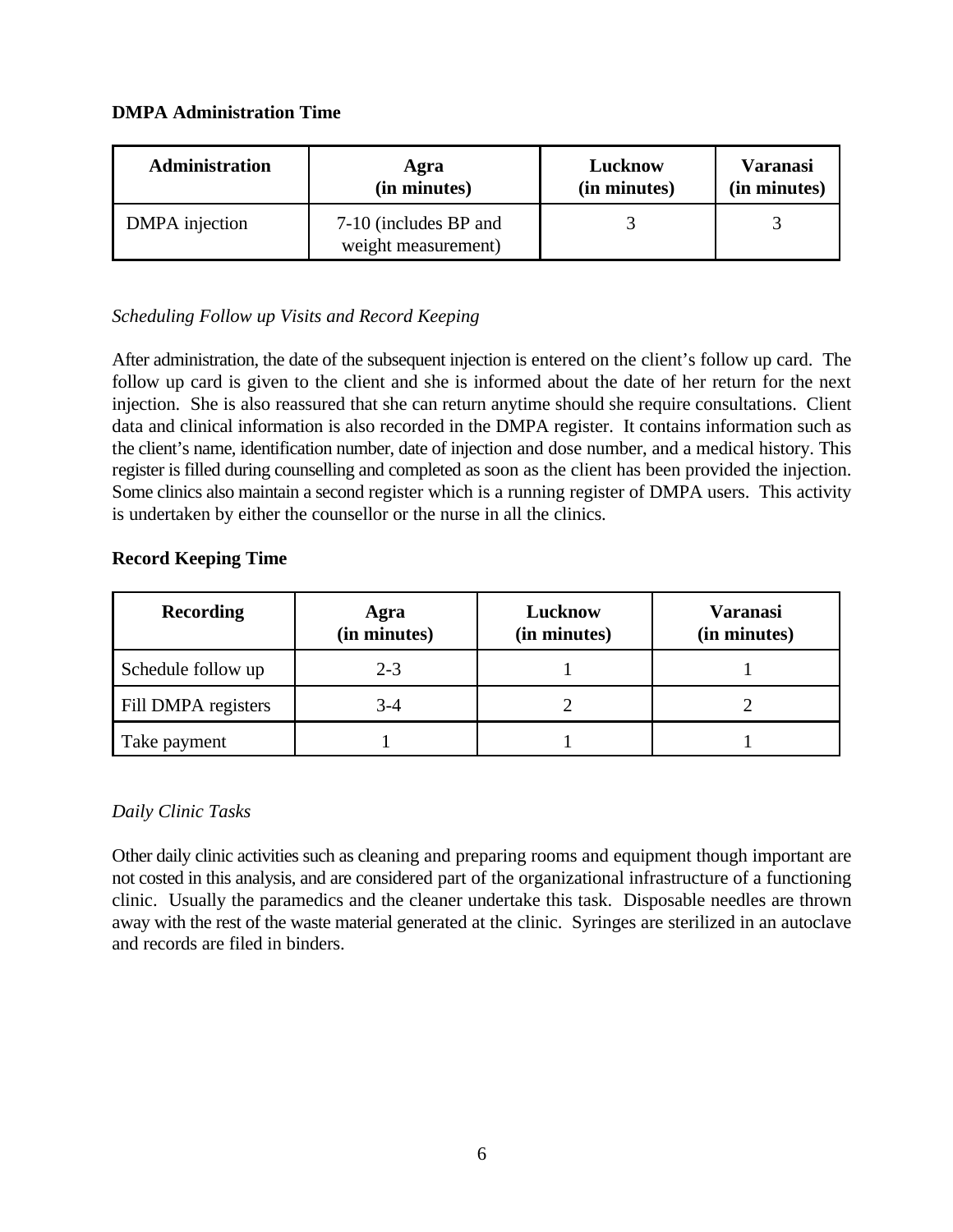#### **DMPA Administration Time**

| <b>Administration</b> | Agra                                         | Lucknow      | <b>Varanasi</b> |
|-----------------------|----------------------------------------------|--------------|-----------------|
|                       | (in minutes)                                 | (in minutes) | (in minutes)    |
| DMPA injection        | 7-10 (includes BP and<br>weight measurement) |              |                 |

# *Scheduling Follow up Visits and Record Keeping*

After administration, the date of the subsequent injection is entered on the client's follow up card. The follow up card is given to the client and she is informed about the date of her return for the next injection. She is also reassured that she can return anytime should she require consultations. Client data and clinical information is also recorded in the DMPA register. It contains information such as the client's name, identification number, date of injection and dose number, and a medical history. This register is filled during counselling and completed as soon as the client has been provided the injection. Some clinics also maintain a second register which is a running register of DMPA users. This activity is undertaken by either the counsellor or the nurse in all the clinics.

# **Record Keeping Time**

| <b>Recording</b>    | Agra<br>(in minutes) | Lucknow<br>(in minutes) | <b>Varanasi</b><br>(in minutes) |
|---------------------|----------------------|-------------------------|---------------------------------|
| Schedule follow up  | $2 - 3$              |                         |                                 |
| Fill DMPA registers | 3-4                  |                         |                                 |
| Take payment        |                      |                         |                                 |

# *Daily Clinic Tasks*

Other daily clinic activities such as cleaning and preparing rooms and equipment though important are not costed in this analysis, and are considered part of the organizational infrastructure of a functioning clinic. Usually the paramedics and the cleaner undertake this task. Disposable needles are thrown away with the rest of the waste material generated at the clinic. Syringes are sterilized in an autoclave and records are filed in binders.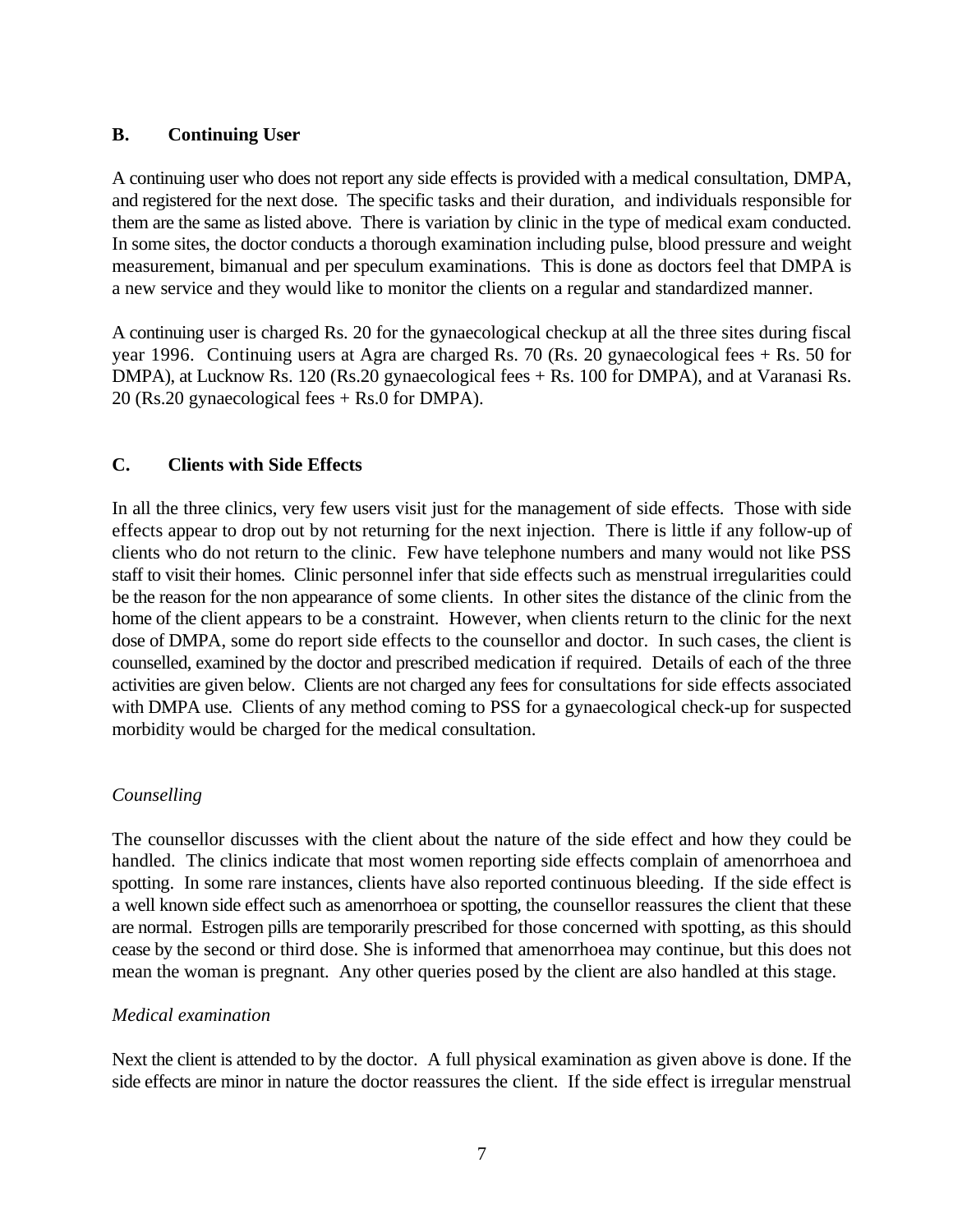#### **B. Continuing User**

A continuing user who does not report any side effects is provided with a medical consultation, DMPA, and registered for the next dose. The specific tasks and their duration, and individuals responsible for them are the same as listed above. There is variation by clinic in the type of medical exam conducted. In some sites, the doctor conducts a thorough examination including pulse, blood pressure and weight measurement, bimanual and per speculum examinations. This is done as doctors feel that DMPA is a new service and they would like to monitor the clients on a regular and standardized manner.

A continuing user is charged Rs. 20 for the gynaecological checkup at all the three sites during fiscal year 1996. Continuing users at Agra are charged Rs. 70 (Rs. 20 gynaecological fees + Rs. 50 for DMPA), at Lucknow Rs. 120 (Rs.20 gynaecological fees + Rs. 100 for DMPA), and at Varanasi Rs. 20 (Rs.20 gynaecological fees + Rs.0 for DMPA).

# **C. Clients with Side Effects**

In all the three clinics, very few users visit just for the management of side effects. Those with side effects appear to drop out by not returning for the next injection. There is little if any follow-up of clients who do not return to the clinic. Few have telephone numbers and many would not like PSS staff to visit their homes. Clinic personnel infer that side effects such as menstrual irregularities could be the reason for the non appearance of some clients. In other sites the distance of the clinic from the home of the client appears to be a constraint. However, when clients return to the clinic for the next dose of DMPA, some do report side effects to the counsellor and doctor. In such cases, the client is counselled, examined by the doctor and prescribed medication if required. Details of each of the three activities are given below. Clients are not charged any fees for consultations for side effects associated with DMPA use. Clients of any method coming to PSS for a gynaecological check-up for suspected morbidity would be charged for the medical consultation.

# *Counselling*

The counsellor discusses with the client about the nature of the side effect and how they could be handled. The clinics indicate that most women reporting side effects complain of amenorrhoea and spotting. In some rare instances, clients have also reported continuous bleeding. If the side effect is a well known side effect such as amenorrhoea or spotting, the counsellor reassures the client that these are normal. Estrogen pills are temporarily prescribed for those concerned with spotting, as this should cease by the second or third dose. She is informed that amenorrhoea may continue, but this does not mean the woman is pregnant. Any other queries posed by the client are also handled at this stage.

#### *Medical examination*

Next the client is attended to by the doctor. A full physical examination as given above is done. If the side effects are minor in nature the doctor reassures the client. If the side effect is irregular menstrual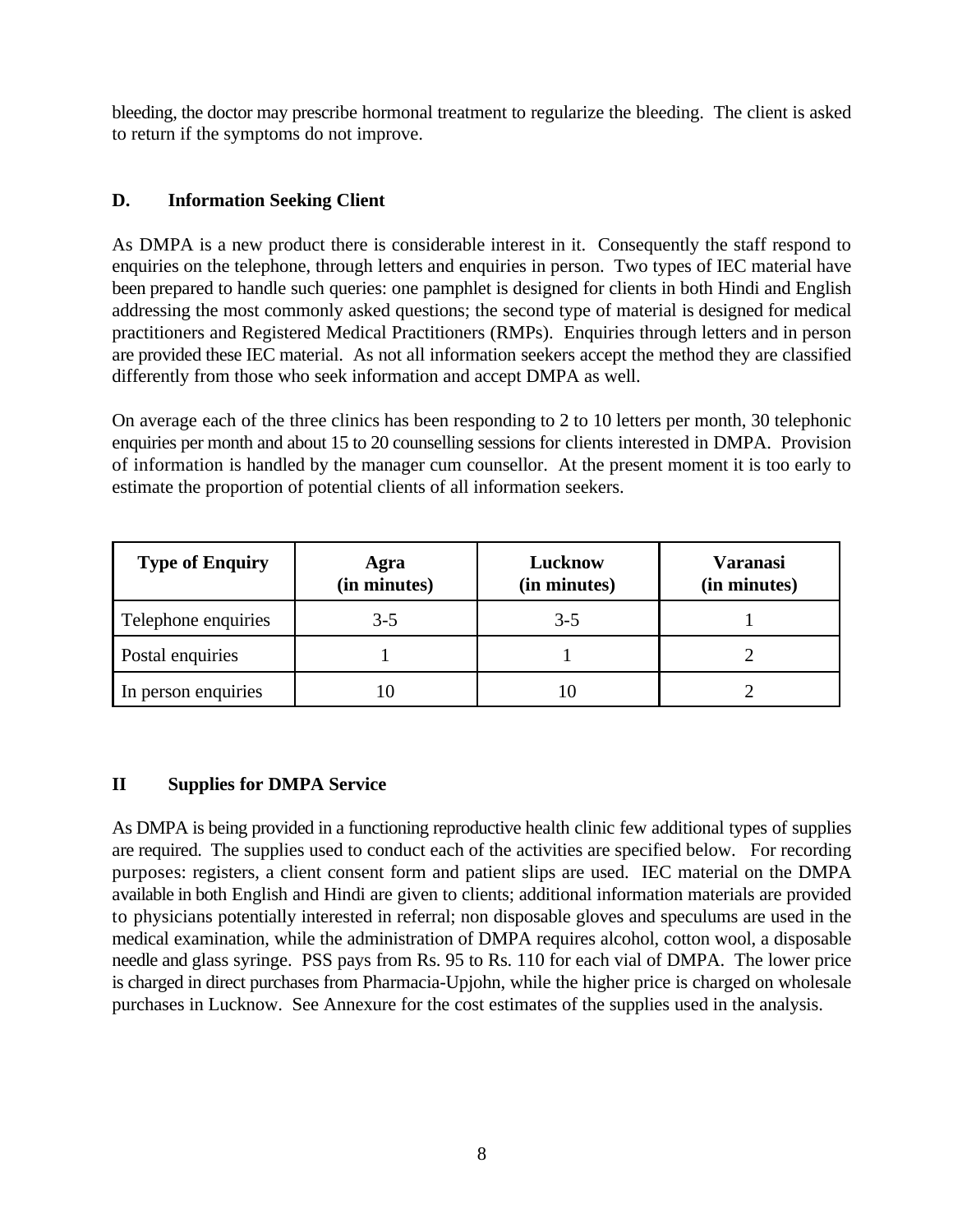bleeding, the doctor may prescribe hormonal treatment to regularize the bleeding. The client is asked to return if the symptoms do not improve.

# **D. Information Seeking Client**

As DMPA is a new product there is considerable interest in it. Consequently the staff respond to enquiries on the telephone, through letters and enquiries in person. Two types of IEC material have been prepared to handle such queries: one pamphlet is designed for clients in both Hindi and English addressing the most commonly asked questions; the second type of material is designed for medical practitioners and Registered Medical Practitioners (RMPs). Enquiries through letters and in person are provided these IEC material. As not all information seekers accept the method they are classified differently from those who seek information and accept DMPA as well.

On average each of the three clinics has been responding to 2 to 10 letters per month, 30 telephonic enquiries per month and about 15 to 20 counselling sessions for clients interested in DMPA. Provision of information is handled by the manager cum counsellor. At the present moment it is too early to estimate the proportion of potential clients of all information seekers.

| <b>Type of Enquiry</b> | Agra<br>(in minutes) | Lucknow<br>(in minutes) | <b>Varanasi</b><br>(in minutes) |
|------------------------|----------------------|-------------------------|---------------------------------|
| Telephone enquiries    | $3-5$                | $3-5$                   |                                 |
| Postal enquiries       |                      |                         |                                 |
| In person enquiries    |                      |                         |                                 |

# **II Supplies for DMPA Service**

As DMPA is being provided in a functioning reproductive health clinic few additional types of supplies are required. The supplies used to conduct each of the activities are specified below. For recording purposes: registers, a client consent form and patient slips are used. IEC material on the DMPA available in both English and Hindi are given to clients; additional information materials are provided to physicians potentially interested in referral; non disposable gloves and speculums are used in the medical examination, while the administration of DMPA requires alcohol, cotton wool, a disposable needle and glass syringe. PSS pays from Rs. 95 to Rs. 110 for each vial of DMPA. The lower price is charged in direct purchases from Pharmacia-Upjohn, while the higher price is charged on wholesale purchases in Lucknow. See Annexure for the cost estimates of the supplies used in the analysis.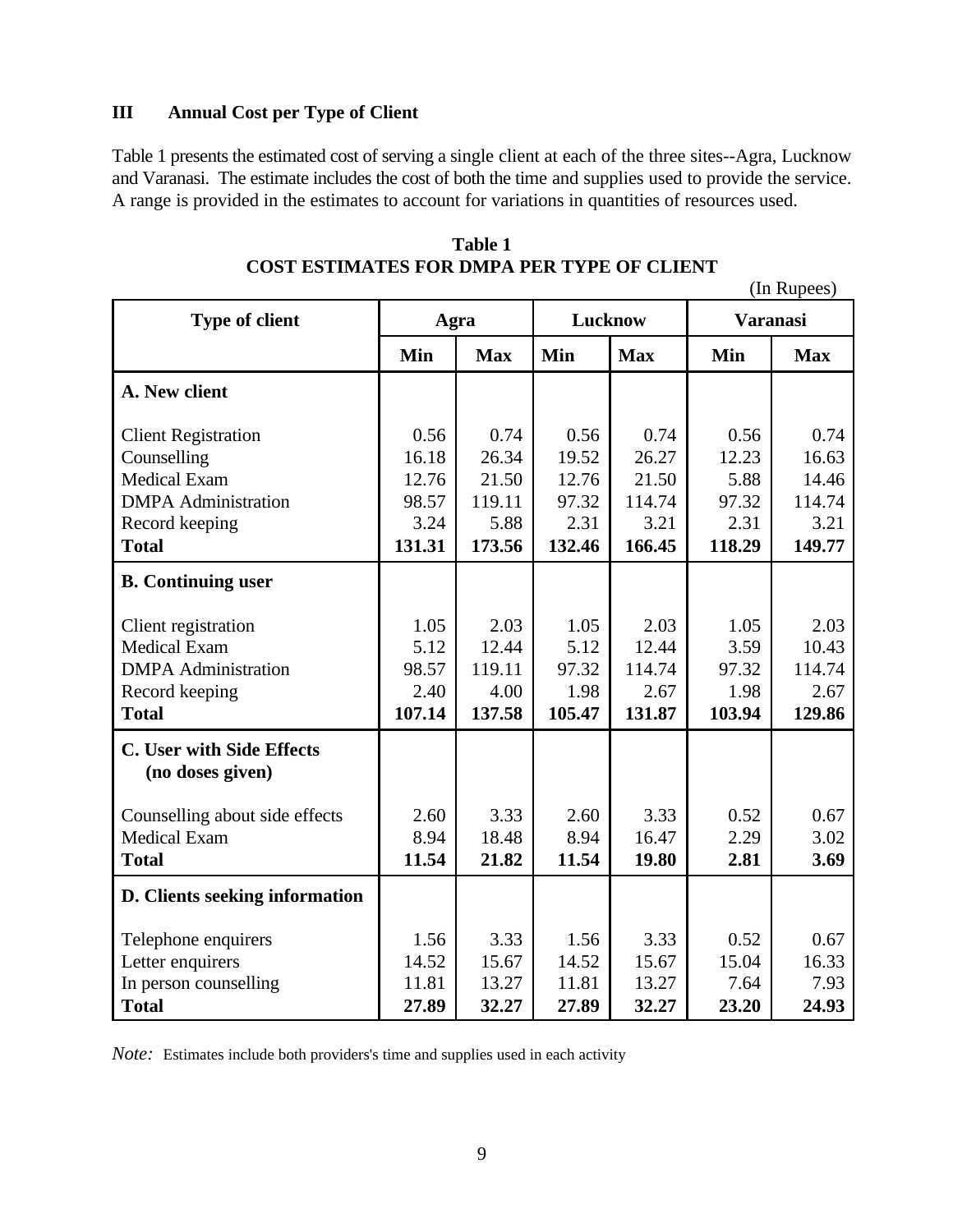# **III Annual Cost per Type of Client**

Table 1 presents the estimated cost of serving a single client at each of the three sites--Agra, Lucknow and Varanasi. The estimate includes the cost of both the time and supplies used to provide the service. A range is provided in the estimates to account for variations in quantities of resources used.

| <b>Type of client</b>                                | Agra   |            | Lucknow |            | <b>Varanasi</b> |            |
|------------------------------------------------------|--------|------------|---------|------------|-----------------|------------|
|                                                      | Min    | <b>Max</b> | Min     | <b>Max</b> | Min             | <b>Max</b> |
| A. New client                                        |        |            |         |            |                 |            |
| <b>Client Registration</b>                           | 0.56   | 0.74       | 0.56    | 0.74       | 0.56            | 0.74       |
| Counselling                                          | 16.18  | 26.34      | 19.52   | 26.27      | 12.23           | 16.63      |
| <b>Medical Exam</b>                                  | 12.76  | 21.50      | 12.76   | 21.50      | 5.88            | 14.46      |
| <b>DMPA</b> Administration                           | 98.57  | 119.11     | 97.32   | 114.74     | 97.32           | 114.74     |
| Record keeping                                       | 3.24   | 5.88       | 2.31    | 3.21       | 2.31            | 3.21       |
| <b>Total</b>                                         | 131.31 | 173.56     | 132.46  | 166.45     | 118.29          | 149.77     |
| <b>B.</b> Continuing user                            |        |            |         |            |                 |            |
| Client registration                                  | 1.05   | 2.03       | 1.05    | 2.03       | 1.05            | 2.03       |
| <b>Medical Exam</b>                                  | 5.12   | 12.44      | 5.12    | 12.44      | 3.59            | 10.43      |
| <b>DMPA</b> Administration                           | 98.57  | 119.11     | 97.32   | 114.74     | 97.32           | 114.74     |
| Record keeping                                       | 2.40   | 4.00       | 1.98    | 2.67       | 1.98            | 2.67       |
| <b>Total</b>                                         | 107.14 | 137.58     | 105.47  | 131.87     | 103.94          | 129.86     |
| <b>C. User with Side Effects</b><br>(no doses given) |        |            |         |            |                 |            |
| Counselling about side effects                       | 2.60   | 3.33       | 2.60    | 3.33       | 0.52            | 0.67       |
| <b>Medical Exam</b>                                  | 8.94   | 18.48      | 8.94    | 16.47      | 2.29            | 3.02       |
| <b>Total</b>                                         | 11.54  | 21.82      | 11.54   | 19.80      | 2.81            | 3.69       |
| D. Clients seeking information                       |        |            |         |            |                 |            |
| Telephone enquirers                                  | 1.56   | 3.33       | 1.56    | 3.33       | 0.52            | 0.67       |
| Letter enquirers                                     | 14.52  | 15.67      | 14.52   | 15.67      | 15.04           | 16.33      |
| In person counselling                                | 11.81  | 13.27      | 11.81   | 13.27      | 7.64            | 7.93       |
| <b>Total</b>                                         | 27.89  | 32.27      | 27.89   | 32.27      | 23.20           | 24.93      |

**Table 1 COST ESTIMATES FOR DMPA PER TYPE OF CLIENT**

(In Rupees)

*Note:* Estimates include both providers's time and supplies used in each activity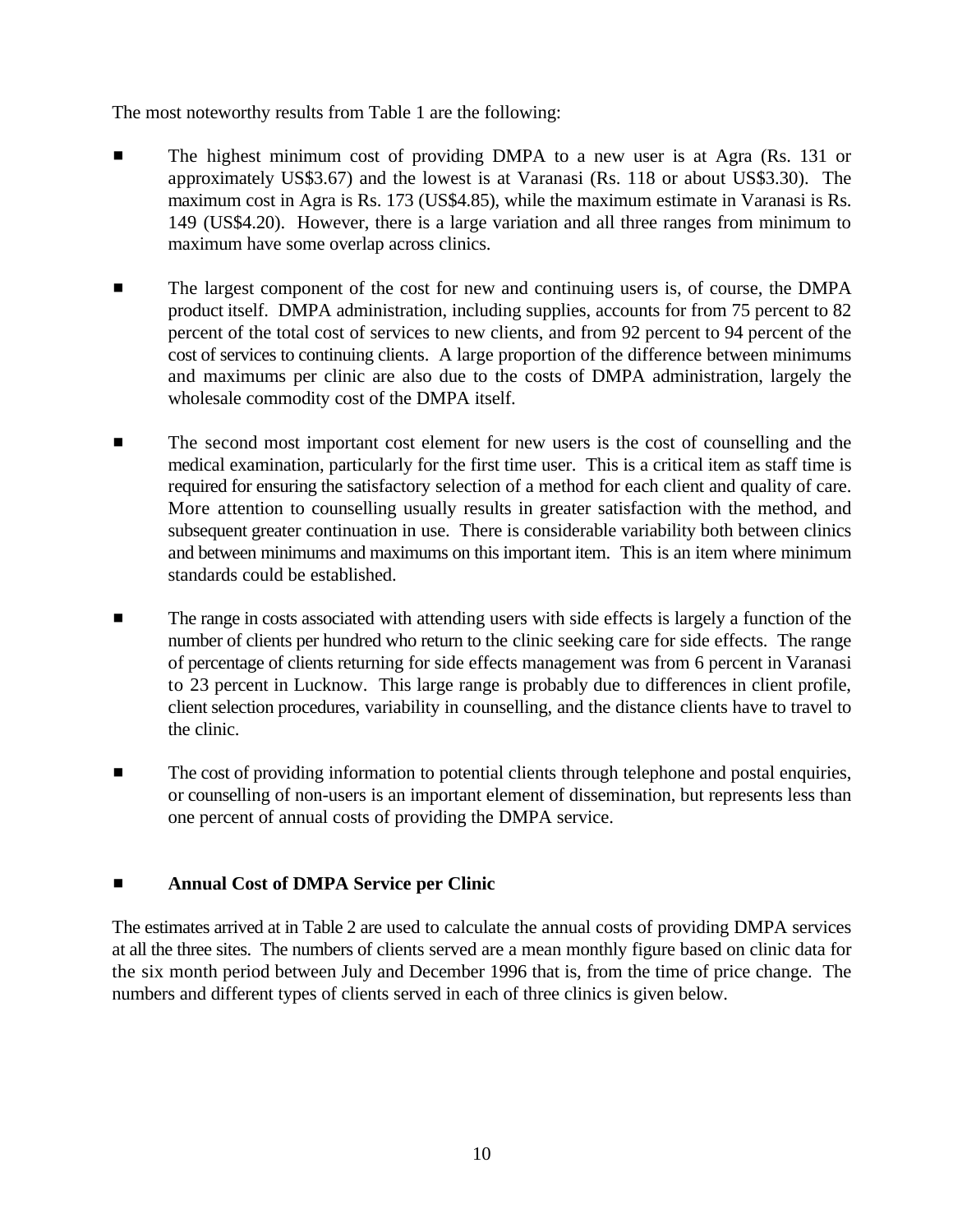The most noteworthy results from Table 1 are the following:

- The highest minimum cost of providing DMPA to a new user is at Agra (Rs. 131 or approximately US\$3.67) and the lowest is at Varanasi (Rs. 118 or about US\$3.30). The maximum cost in Agra is Rs. 173 (US\$4.85), while the maximum estimate in Varanasi is Rs. 149 (US\$4.20). However, there is a large variation and all three ranges from minimum to maximum have some overlap across clinics.
- **EXECUTE:** The largest component of the cost for new and continuing users is, of course, the DMPA product itself. DMPA administration, including supplies, accounts for from 75 percent to 82 percent of the total cost of services to new clients, and from 92 percent to 94 percent of the cost of services to continuing clients. A large proportion of the difference between minimums and maximums per clinic are also due to the costs of DMPA administration, largely the wholesale commodity cost of the DMPA itself.
- **EXECUTE:** The second most important cost element for new users is the cost of counselling and the medical examination, particularly for the first time user. This is a critical item as staff time is required for ensuring the satisfactory selection of a method for each client and quality of care. More attention to counselling usually results in greater satisfaction with the method, and subsequent greater continuation in use. There is considerable variability both between clinics and between minimums and maximums on this important item. This is an item where minimum standards could be established.
- **Example 1** The range in costs associated with attending users with side effects is largely a function of the number of clients per hundred who return to the clinic seeking care for side effects. The range of percentage of clients returning for side effects management was from 6 percent in Varanasi to 23 percent in Lucknow. This large range is probably due to differences in client profile, client selection procedures, variability in counselling, and the distance clients have to travel to the clinic.
- $\blacksquare$  The cost of providing information to potential clients through telephone and postal enquiries, or counselling of non-users is an important element of dissemination, but represents less than one percent of annual costs of providing the DMPA service.

# $\blacksquare$  Annual Cost of DMPA Service per Clinic

The estimates arrived at in Table 2 are used to calculate the annual costs of providing DMPA services at all the three sites. The numbers of clients served are a mean monthly figure based on clinic data for the six month period between July and December 1996 that is, from the time of price change. The numbers and different types of clients served in each of three clinics is given below.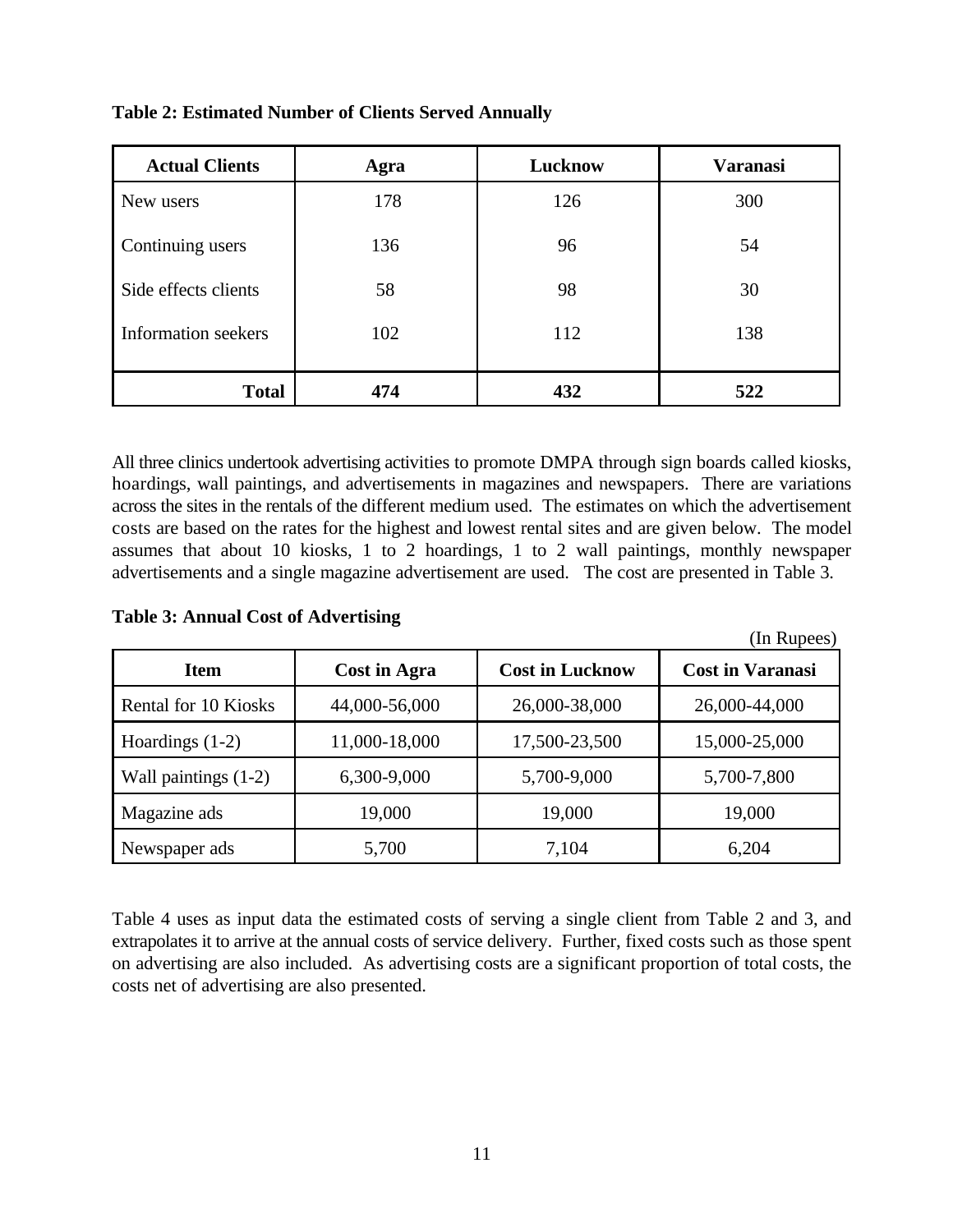| <b>Actual Clients</b> | Agra | Lucknow | <b>Varanasi</b> |
|-----------------------|------|---------|-----------------|
| New users             | 178  | 126     | 300             |
| Continuing users      | 136  | 96      | 54              |
| Side effects clients  | 58   | 98      | 30              |
| Information seekers   | 102  | 112     |                 |
| <b>Total</b>          | 474  | 432     | 522             |

#### **Table 2: Estimated Number of Clients Served Annually**

All three clinics undertook advertising activities to promote DMPA through sign boards called kiosks, hoardings, wall paintings, and advertisements in magazines and newspapers. There are variations across the sites in the rentals of the different medium used. The estimates on which the advertisement costs are based on the rates for the highest and lowest rental sites and are given below. The model assumes that about 10 kiosks, 1 to 2 hoardings, 1 to 2 wall paintings, monthly newspaper advertisements and a single magazine advertisement are used. The cost are presented in Table 3.

#### **Table 3: Annual Cost of Advertising**

|                        |               |                        | (In Rupees)             |
|------------------------|---------------|------------------------|-------------------------|
| <b>Item</b>            | Cost in Agra  | <b>Cost in Lucknow</b> | <b>Cost in Varanasi</b> |
| Rental for 10 Kiosks   | 44,000-56,000 | 26,000-38,000          | 26,000-44,000           |
| Hoardings $(1-2)$      | 11,000-18,000 | 17,500-23,500          | 15,000-25,000           |
| Wall paintings $(1-2)$ | 6,300-9,000   | 5,700-9,000            | 5,700-7,800             |
| Magazine ads           | 19,000        | 19,000                 | 19,000                  |
| Newspaper ads          | 5,700         | 7,104                  | 6,204                   |

Table 4 uses as input data the estimated costs of serving a single client from Table 2 and 3, and extrapolates it to arrive at the annual costs of service delivery. Further, fixed costs such as those spent on advertising are also included. As advertising costs are a significant proportion of total costs, the costs net of advertising are also presented.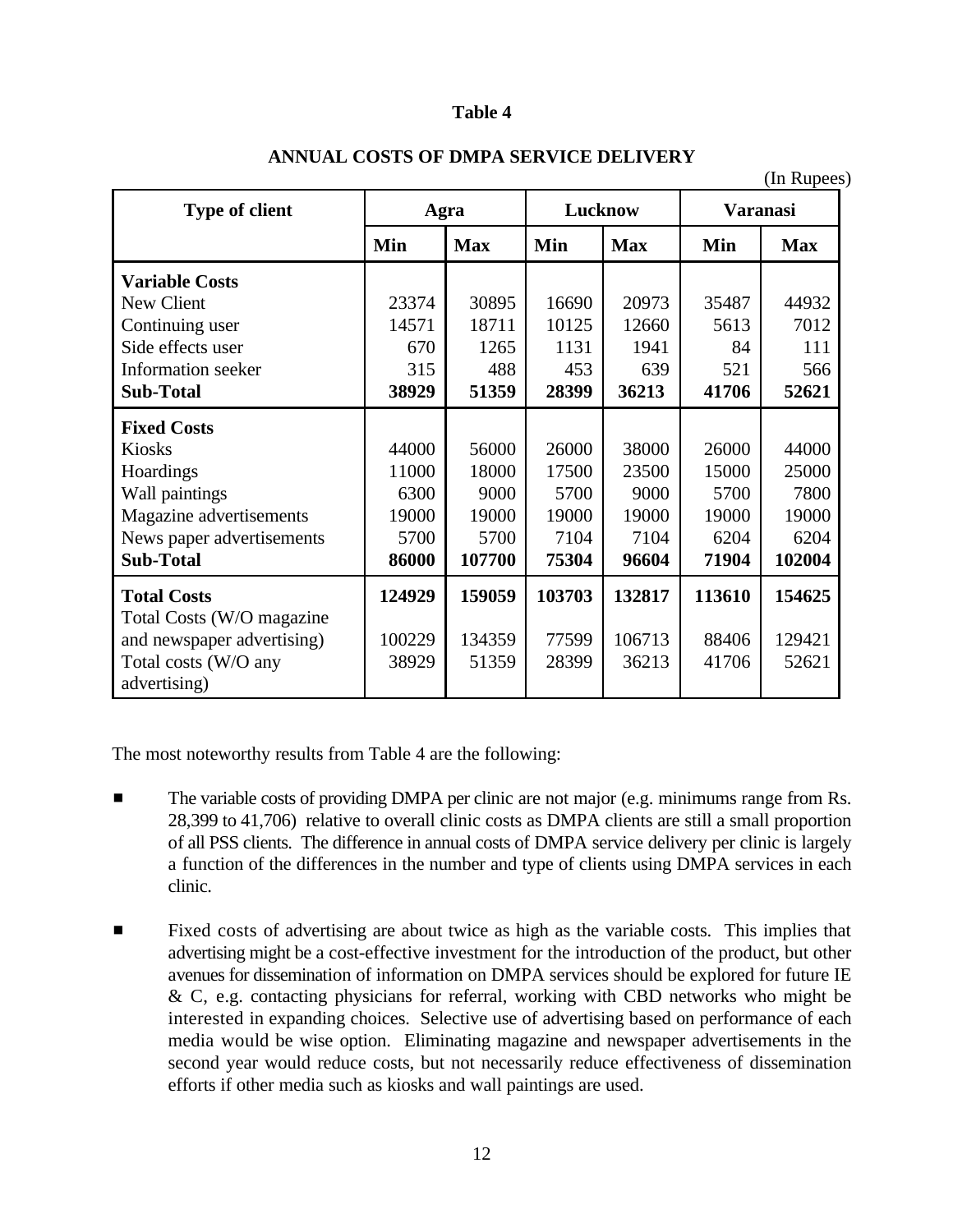#### **Table 4**

|                            |        |            |         |            |                 | (In Rupees) |
|----------------------------|--------|------------|---------|------------|-----------------|-------------|
| <b>Type of client</b>      | Agra   |            | Lucknow |            | <b>Varanasi</b> |             |
|                            | Min    | <b>Max</b> | Min     | <b>Max</b> | Min             | <b>Max</b>  |
| <b>Variable Costs</b>      |        |            |         |            |                 |             |
| New Client                 | 23374  | 30895      | 16690   | 20973      | 35487           | 44932       |
| Continuing user            | 14571  | 18711      | 10125   | 12660      | 5613            | 7012        |
| Side effects user          | 670    | 1265       | 1131    | 1941       | 84              | 111         |
| Information seeker         | 315    | 488        | 453     | 639        | 521             | 566         |
| <b>Sub-Total</b>           | 38929  | 51359      | 28399   | 36213      | 41706           | 52621       |
| <b>Fixed Costs</b>         |        |            |         |            |                 |             |
| <b>Kiosks</b>              | 44000  | 56000      | 26000   | 38000      | 26000           | 44000       |
| Hoardings                  | 11000  | 18000      | 17500   | 23500      | 15000           | 25000       |
| Wall paintings             | 6300   | 9000       | 5700    | 9000       | 5700            | 7800        |
| Magazine advertisements    | 19000  | 19000      | 19000   | 19000      | 19000           | 19000       |
| News paper advertisements  | 5700   | 5700       | 7104    | 7104       | 6204            | 6204        |
| <b>Sub-Total</b>           | 86000  | 107700     | 75304   | 96604      | 71904           | 102004      |
| <b>Total Costs</b>         | 124929 | 159059     | 103703  | 132817     | 113610          | 154625      |
| Total Costs (W/O magazine  |        |            |         |            |                 |             |
| and newspaper advertising) | 100229 | 134359     | 77599   | 106713     | 88406           | 129421      |
| Total costs (W/O any       | 38929  | 51359      | 28399   | 36213      | 41706           | 52621       |
| advertising)               |        |            |         |            |                 |             |

#### **ANNUAL COSTS OF DMPA SERVICE DELIVERY**

The most noteworthy results from Table 4 are the following:

- **Example 1** The variable costs of providing DMPA per clinic are not major (e.g. minimums range from Rs. 28,399 to 41,706) relative to overall clinic costs as DMPA clients are still a small proportion of all PSS clients. The difference in annual costs of DMPA service delivery per clinic is largely a function of the differences in the number and type of clients using DMPA services in each clinic.
- **Example 1** Fixed costs of advertising are about twice as high as the variable costs. This implies that advertising might be a cost-effective investment for the introduction of the product, but other avenues for dissemination of information on DMPA services should be explored for future IE & C, e.g. contacting physicians for referral, working with CBD networks who might be interested in expanding choices. Selective use of advertising based on performance of each media would be wise option. Eliminating magazine and newspaper advertisements in the second year would reduce costs, but not necessarily reduce effectiveness of dissemination efforts if other media such as kiosks and wall paintings are used.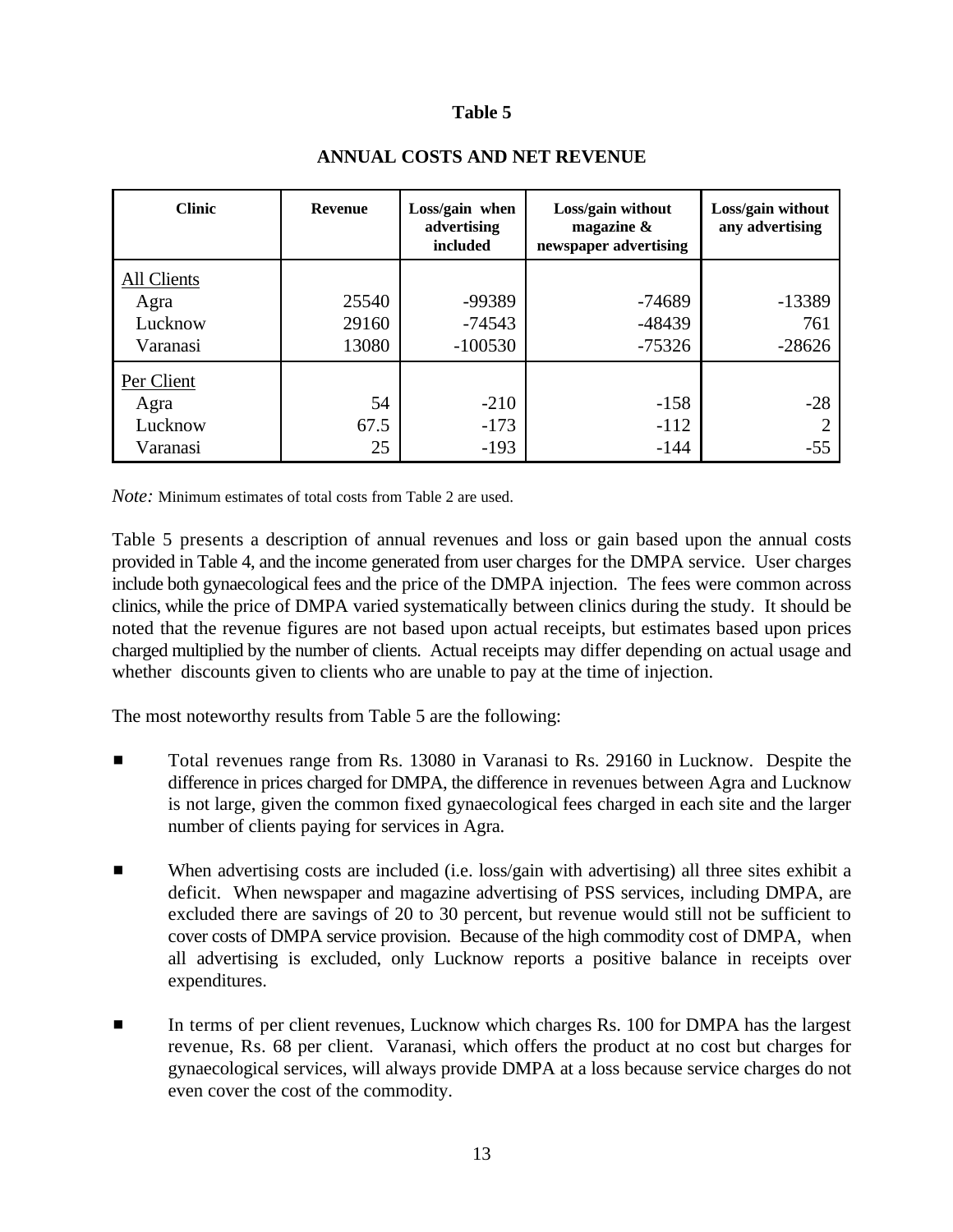#### **Table 5**

| <b>Clinic</b>                                     | <b>Revenue</b>          | Loss/gain when<br>advertising<br>included | Loss/gain without<br>magazine $\&$<br>newspaper advertising | Loss/gain without<br>any advertising |
|---------------------------------------------------|-------------------------|-------------------------------------------|-------------------------------------------------------------|--------------------------------------|
| <b>All Clients</b><br>Agra<br>Lucknow<br>Varanasi | 25540<br>29160<br>13080 | -99389<br>$-74543$<br>$-100530$           | $-74689$<br>$-48439$<br>$-75326$                            | -13389<br>761<br>$-28626$            |
| Per Client<br>Agra<br>Lucknow<br>Varanasi         | 54<br>67.5<br>25        | $-210$<br>$-173$<br>$-193$                | $-158$<br>$-112$<br>$-144$                                  | $-28$<br>2<br>$-55$                  |

#### **ANNUAL COSTS AND NET REVENUE**

*Note:* Minimum estimates of total costs from Table 2 are used.

Table 5 presents a description of annual revenues and loss or gain based upon the annual costs provided in Table 4, and the income generated from user charges for the DMPA service. User charges include both gynaecological fees and the price of the DMPA injection. The fees were common across clinics, while the price of DMPA varied systematically between clinics during the study. It should be noted that the revenue figures are not based upon actual receipts, but estimates based upon prices charged multiplied by the number of clients. Actual receipts may differ depending on actual usage and whether discounts given to clients who are unable to pay at the time of injection.

The most noteworthy results from Table 5 are the following:

- Total revenues range from Rs. 13080 in Varanasi to Rs. 29160 in Lucknow. Despite the difference in prices charged for DMPA, the difference in revenues between Agra and Lucknow is not large, given the common fixed gynaecological fees charged in each site and the larger number of clients paying for services in Agra.
- **EXECUTE:** When advertising costs are included (i.e. loss/gain with advertising) all three sites exhibit a deficit. When newspaper and magazine advertising of PSS services, including DMPA, are excluded there are savings of 20 to 30 percent, but revenue would still not be sufficient to cover costs of DMPA service provision. Because of the high commodity cost of DMPA, when all advertising is excluded, only Lucknow reports a positive balance in receipts over expenditures.
- In terms of per client revenues, Lucknow which charges Rs. 100 for DMPA has the largest revenue, Rs. 68 per client. Varanasi, which offers the product at no cost but charges for gynaecological services, will always provide DMPA at a loss because service charges do not even cover the cost of the commodity.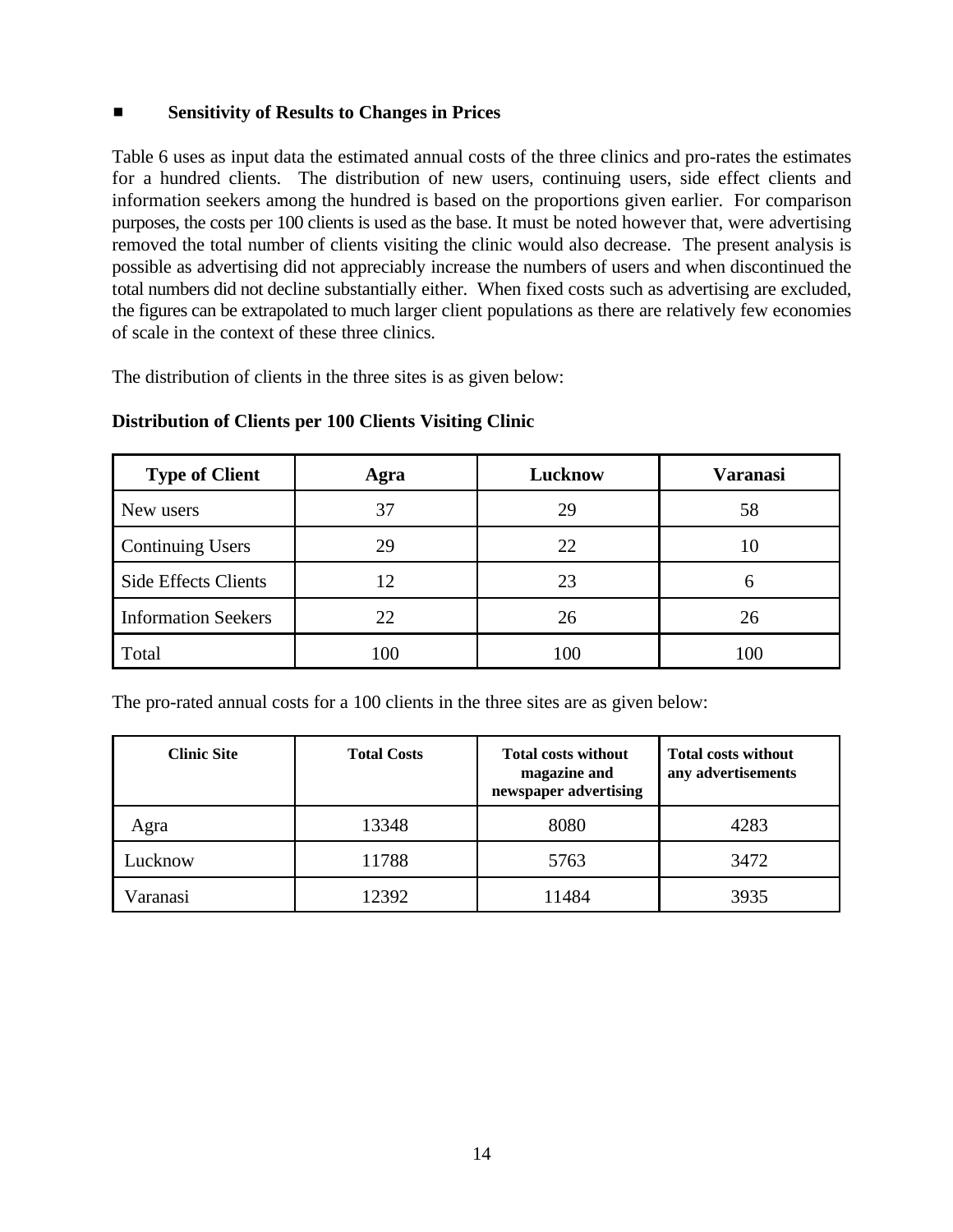#### ■ **Sensitivity of Results to Changes in Prices**

Table 6 uses as input data the estimated annual costs of the three clinics and pro-rates the estimates for a hundred clients. The distribution of new users, continuing users, side effect clients and information seekers among the hundred is based on the proportions given earlier. For comparison purposes, the costs per 100 clients is used as the base. It must be noted however that, were advertising removed the total number of clients visiting the clinic would also decrease. The present analysis is possible as advertising did not appreciably increase the numbers of users and when discontinued the total numbers did not decline substantially either. When fixed costs such as advertising are excluded, the figures can be extrapolated to much larger client populations as there are relatively few economies of scale in the context of these three clinics.

The distribution of clients in the three sites is as given below:

| <b>Type of Client</b>       | Agra | Lucknow | <b>Varanasi</b> |
|-----------------------------|------|---------|-----------------|
| New users                   | 37   | 29      | 58              |
| <b>Continuing Users</b>     | 29   | 22      | 10              |
| <b>Side Effects Clients</b> | 12   | 23      |                 |
| <b>Information Seekers</b>  | 22   | 26      | 26              |
| Total                       | 100  | 100     | 100             |

#### **Distribution of Clients per 100 Clients Visiting Clinic**

The pro-rated annual costs for a 100 clients in the three sites are as given below:

| <b>Clinic Site</b>   | <b>Total Costs</b> | <b>Total costs without</b><br>magazine and<br>newspaper advertising | <b>Total costs without</b><br>any advertisements |
|----------------------|--------------------|---------------------------------------------------------------------|--------------------------------------------------|
| Agra                 | 13348              | 8080                                                                | 4283                                             |
| Lucknow              | 11788              | 5763                                                                | 3472                                             |
| <sup>7</sup> aranasi | 12392              | 11484                                                               | 3935                                             |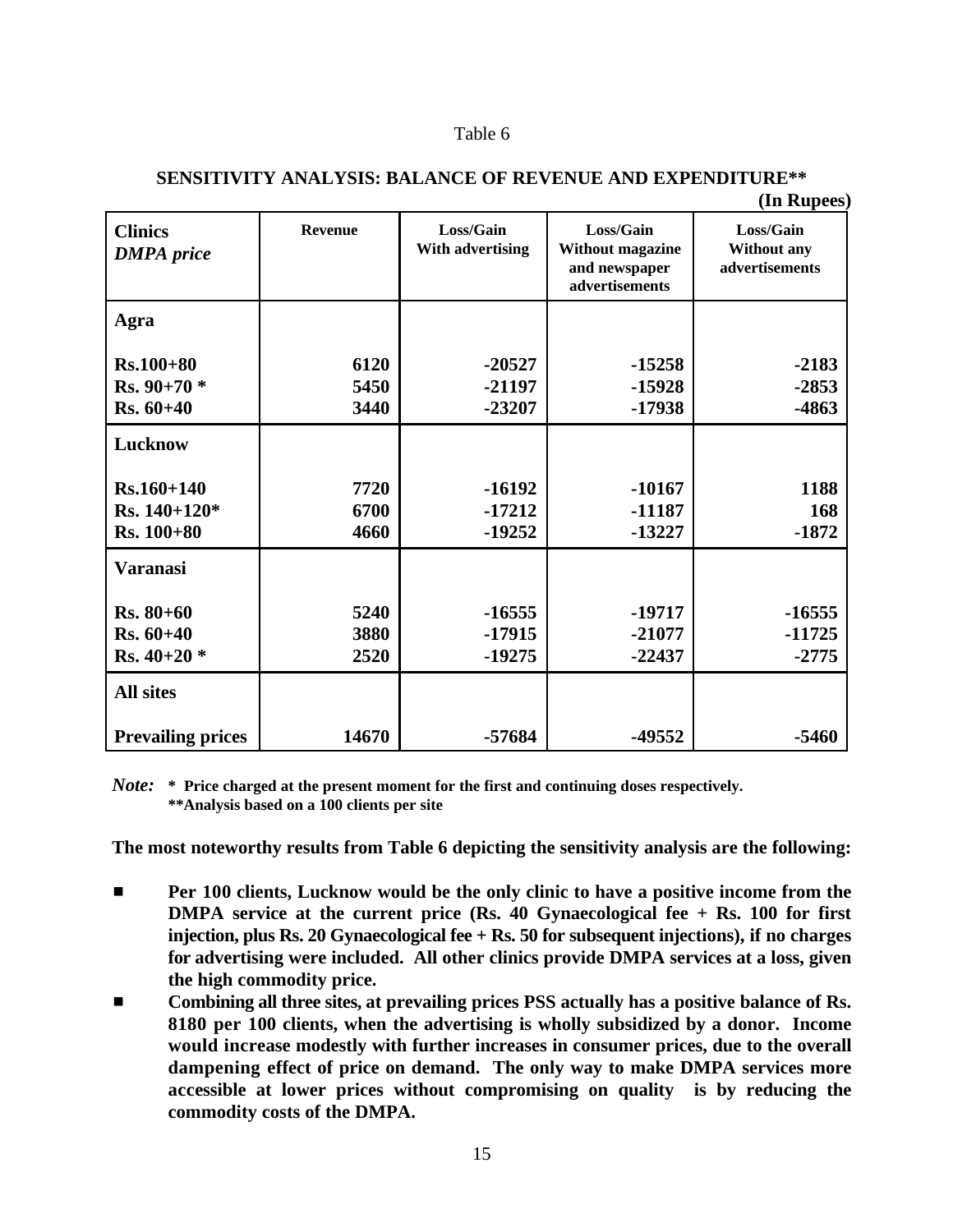#### Table 6

| <b>Clinics</b><br><b>DMPA</b> price | <b>Revenue</b> | Loss/Gain<br>With advertising | Loss/Gain<br><b>Without magazine</b><br>and newspaper<br>advertisements | (<br>Loss/Gain<br>Without any<br>advertisements |
|-------------------------------------|----------------|-------------------------------|-------------------------------------------------------------------------|-------------------------------------------------|
| Agra                                |                |                               |                                                                         |                                                 |
| $Rs.100 + 80$                       | 6120           | $-20527$                      | $-15258$                                                                | $-2183$                                         |
| $Rs.90+70*$                         | 5450           | $-21197$                      | $-15928$                                                                | $-2853$                                         |
| $Rs. 60+40$                         | 3440           | $-23207$                      | $-17938$                                                                | -4863                                           |
| Lucknow                             |                |                               |                                                                         |                                                 |
| $Rs.160 + 140$                      | 7720           | $-16192$                      | $-10167$                                                                | 1188                                            |
| Rs. $140+120*$                      | 6700           | $-17212$                      | $-11187$                                                                | 168                                             |
| $Rs. 100 + 80$                      | 4660           | $-19252$                      | $-13227$                                                                | $-1872$                                         |
| Varanasi                            |                |                               |                                                                         |                                                 |
| $Rs. 80 + 60$                       | 5240           | $-16555$                      | $-19717$                                                                | $-16555$                                        |
| $Rs. 60+40$                         | 3880           | $-17915$                      | $-21077$                                                                | $-11725$                                        |
| Rs. $40+20$ *                       | 2520           | $-19275$                      | $-22437$                                                                | $-2775$                                         |
| <b>All sites</b>                    |                |                               |                                                                         |                                                 |
| <b>Prevailing prices</b>            | 14670          | $-57684$                      | -49552                                                                  | $-5460$                                         |

#### **SENSITIVITY ANALYSIS: BALANCE OF REVENUE AND EXPENDITURE\*\***

**(In Rupees)**

*Note:* **\* Price charged at the present moment for the first and continuing doses respectively. \*\*Analysis based on a 100 clients per site**

**The most noteworthy results from Table 6 depicting the sensitivity analysis are the following:**

- $\blacksquare$  Per 100 clients, Lucknow would be the only clinic to have a positive income from the **DMPA service at the current price (Rs. 40 Gynaecological fee + Rs. 100 for first injection, plus Rs. 20 Gynaecological fee + Rs. 50 for subsequent injections), if no charges for advertising were included. All other clinics provide DMPA services at a loss, given the high commodity price.**
- $\blacksquare$  Combining all three sites, at prevailing prices PSS actually has a positive balance of Rs. **8180 per 100 clients, when the advertising is wholly subsidized by a donor. Income would increase modestly with further increases in consumer prices, due to the overall dampening effect of price on demand. The only way to make DMPA services more accessible at lower prices without compromising on quality is by reducing the commodity costs of the DMPA.**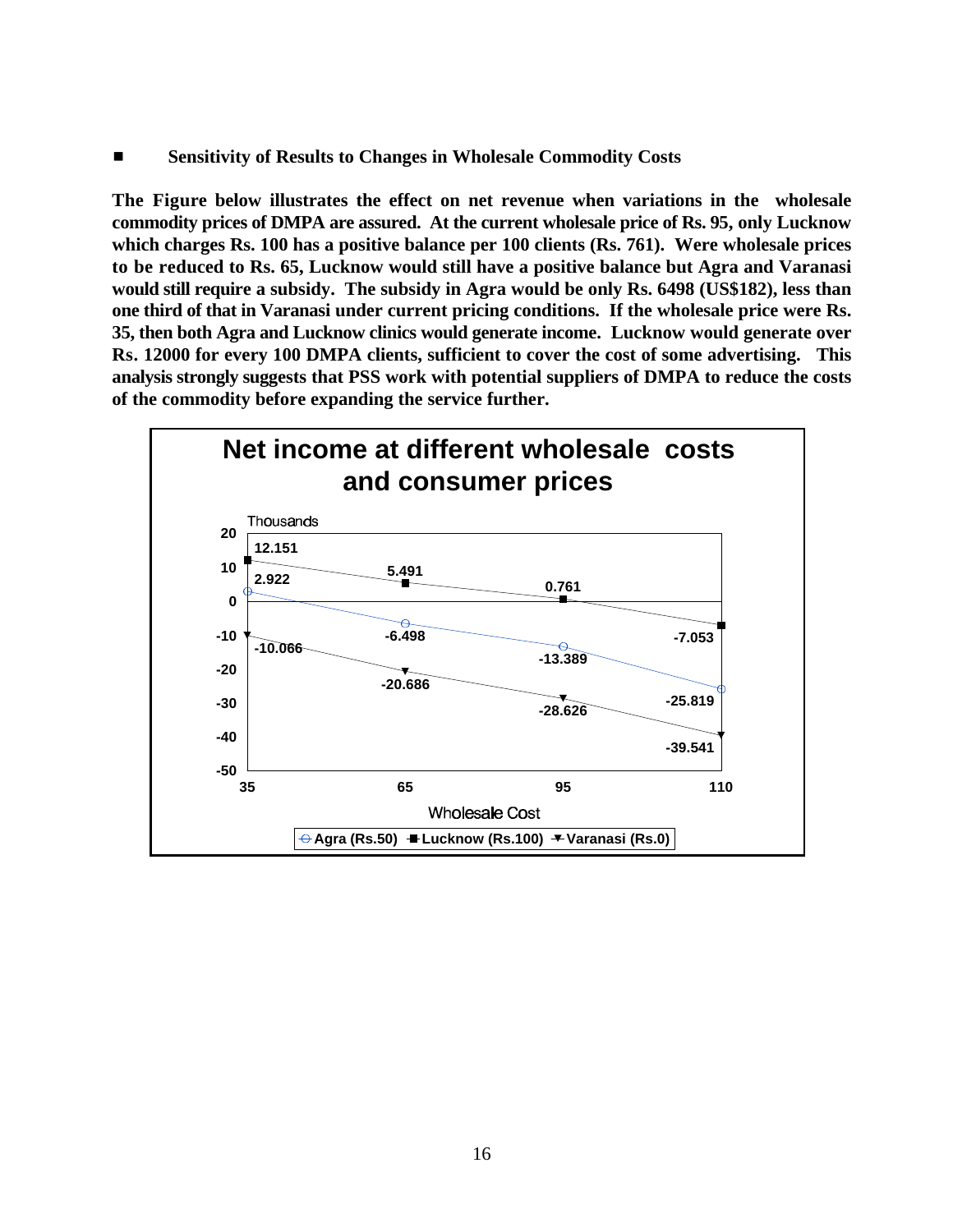$\blacksquare$  Sensitivity of Results to Changes in Wholesale Commodity Costs

**The Figure below illustrates the effect on net revenue when variations in the wholesale commodity prices of DMPA are assured. At the current wholesale price of Rs. 95, only Lucknow which charges Rs. 100 has a positive balance per 100 clients (Rs. 761). Were wholesale prices to be reduced to Rs. 65, Lucknow would still have a positive balance but Agra and Varanasi would still require a subsidy. The subsidy in Agra would be only Rs. 6498 (US\$182), less than one third of that in Varanasi under current pricing conditions. If the wholesale price were Rs. 35, then both Agra and Lucknow clinics would generate income. Lucknow would generate over Rs. 12000 for every 100 DMPA clients, sufficient to cover the cost of some advertising. This analysis strongly suggests that PSS work with potential suppliers of DMPA to reduce the costs of the commodity before expanding the service further.**

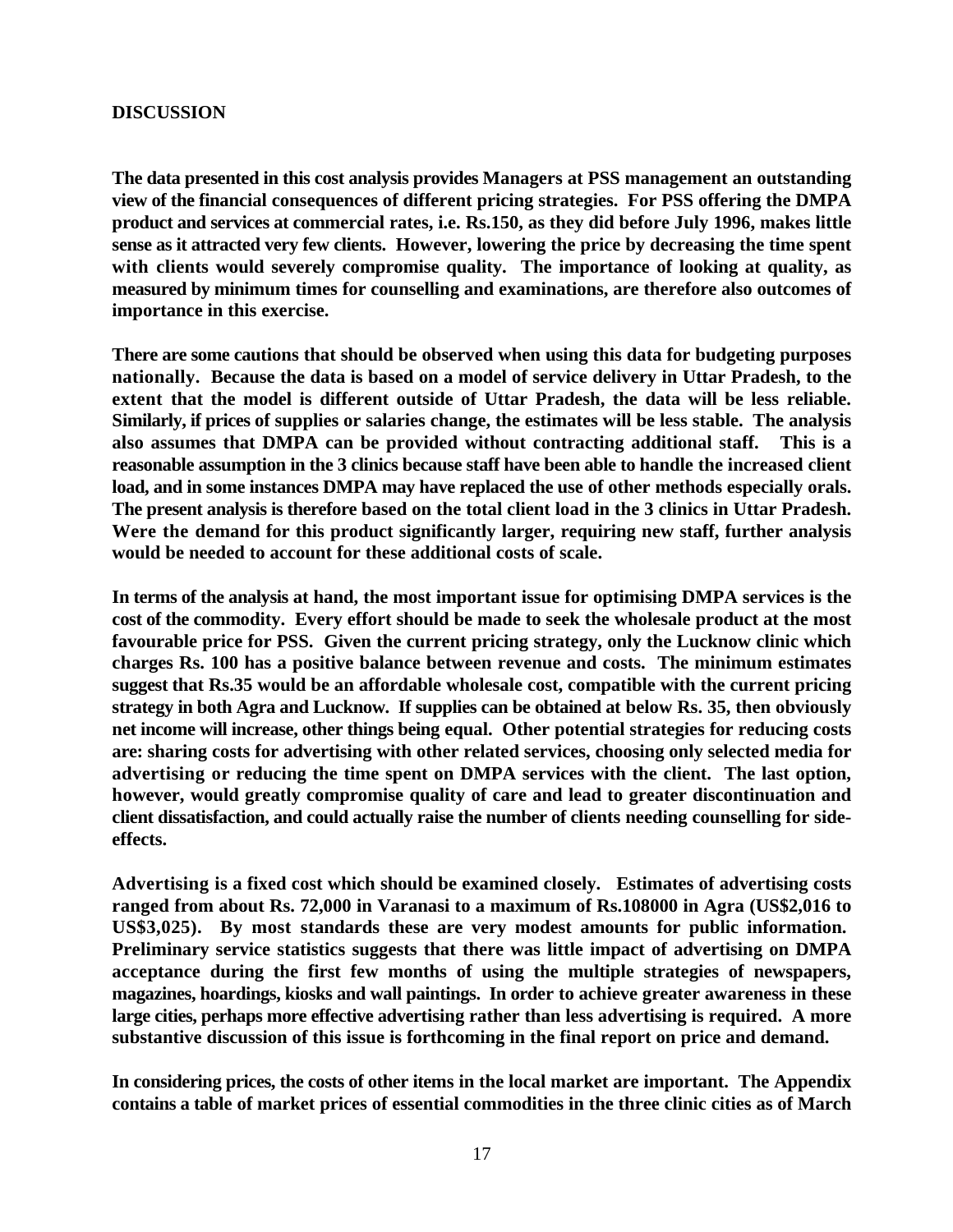#### **DISCUSSION**

**The data presented in this cost analysis provides Managers at PSS management an outstanding view of the financial consequences of different pricing strategies. For PSS offering the DMPA product and services at commercial rates, i.e. Rs.150, as they did before July 1996, makes little sense as it attracted very few clients. However, lowering the price by decreasing the time spent with clients would severely compromise quality. The importance of looking at quality, as measured by minimum times for counselling and examinations, are therefore also outcomes of importance in this exercise.**

**There are some cautions that should be observed when using this data for budgeting purposes nationally. Because the data is based on a model of service delivery in Uttar Pradesh, to the extent that the model is different outside of Uttar Pradesh, the data will be less reliable. Similarly, if prices of supplies or salaries change, the estimates will be less stable. The analysis also assumes that DMPA can be provided without contracting additional staff. This is a reasonable assumption in the 3 clinics because staff have been able to handle the increased client load, and in some instances DMPA may have replaced the use of other methods especially orals. The present analysis is therefore based on the total client load in the 3 clinics in Uttar Pradesh. Were the demand for this product significantly larger, requiring new staff, further analysis would be needed to account for these additional costs of scale.**

**In terms of the analysis at hand, the most important issue for optimising DMPA services is the cost of the commodity. Every effort should be made to seek the wholesale product at the most favourable price for PSS. Given the current pricing strategy, only the Lucknow clinic which charges Rs. 100 has a positive balance between revenue and costs. The minimum estimates suggest that Rs.35 would be an affordable wholesale cost, compatible with the current pricing strategy in both Agra and Lucknow. If supplies can be obtained at below Rs. 35, then obviously net income will increase, other things being equal. Other potential strategies for reducing costs are: sharing costs for advertising with other related services, choosing only selected media for advertising or reducing the time spent on DMPA services with the client. The last option, however, would greatly compromise quality of care and lead to greater discontinuation and client dissatisfaction, and could actually raise the number of clients needing counselling for sideeffects.**

**Advertising is a fixed cost which should be examined closely. Estimates of advertising costs ranged from about Rs. 72,000 in Varanasi to a maximum of Rs.108000 in Agra (US\$2,016 to US\$3,025). By most standards these are very modest amounts for public information. Preliminary service statistics suggests that there was little impact of advertising on DMPA acceptance during the first few months of using the multiple strategies of newspapers, magazines, hoardings, kiosks and wall paintings. In order to achieve greater awareness in these large cities, perhaps more effective advertising rather than less advertising is required. A more substantive discussion of this issue is forthcoming in the final report on price and demand.**

**In considering prices, the costs of other items in the local market are important. The Appendix contains a table of market prices of essential commodities in the three clinic cities as of March**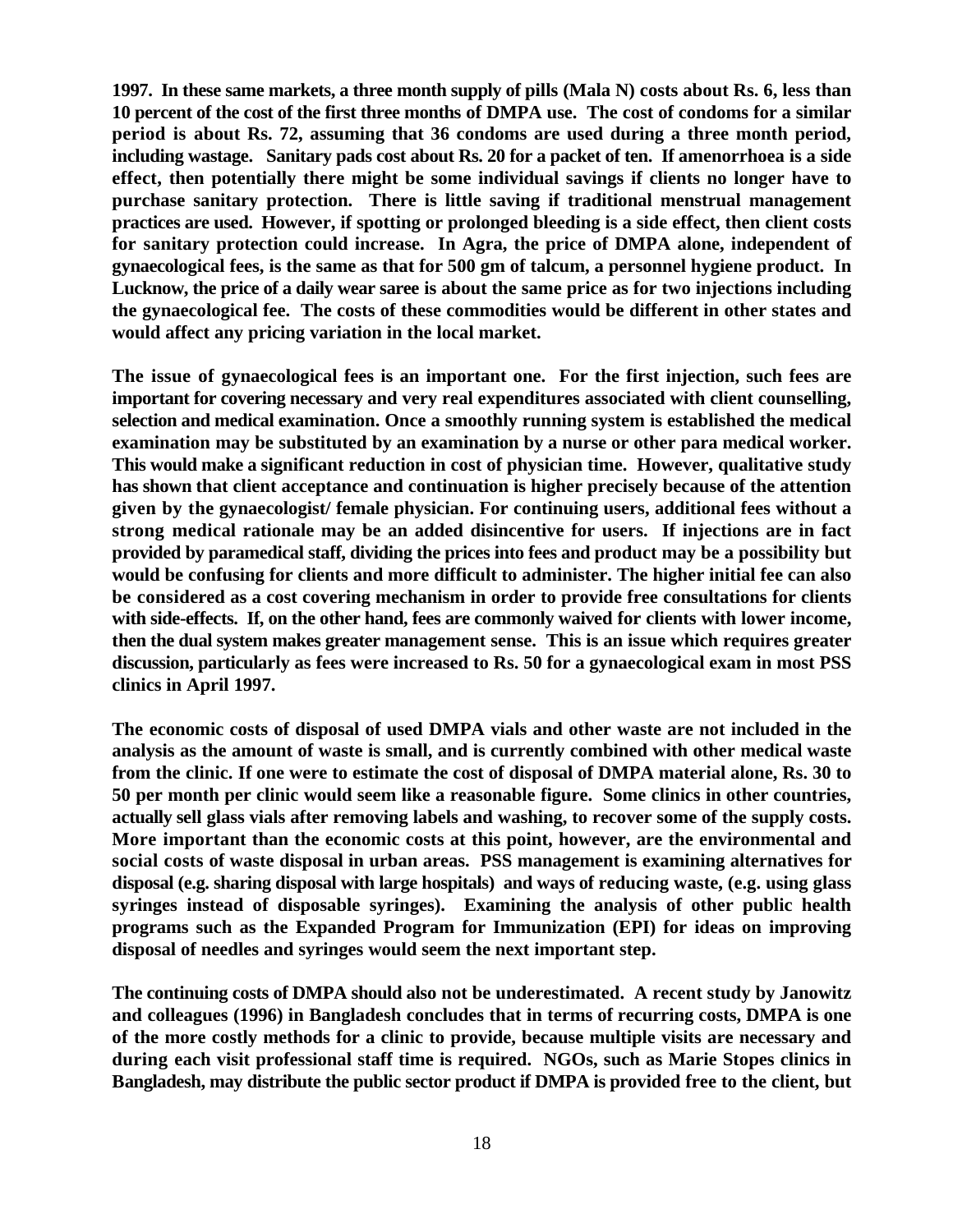**1997. In these same markets, a three month supply of pills (Mala N) costs about Rs. 6, less than 10 percent of the cost of the first three months of DMPA use. The cost of condoms for a similar period is about Rs. 72, assuming that 36 condoms are used during a three month period, including wastage. Sanitary pads cost about Rs. 20 for a packet of ten. If amenorrhoea is a side effect, then potentially there might be some individual savings if clients no longer have to purchase sanitary protection. There is little saving if traditional menstrual management practices are used. However, if spotting or prolonged bleeding is a side effect, then client costs for sanitary protection could increase. In Agra, the price of DMPA alone, independent of gynaecological fees, is the same as that for 500 gm of talcum, a personnel hygiene product. In Lucknow, the price of a daily wear saree is about the same price as for two injections including the gynaecological fee. The costs of these commodities would be different in other states and would affect any pricing variation in the local market.**

**The issue of gynaecological fees is an important one. For the first injection, such fees are important for covering necessary and very real expenditures associated with client counselling, selection and medical examination. Once a smoothly running system is established the medical examination may be substituted by an examination by a nurse or other para medical worker. This would make a significant reduction in cost of physician time. However, qualitative study has shown that client acceptance and continuation is higher precisely because of the attention given by the gynaecologist/ female physician. For continuing users, additional fees without a strong medical rationale may be an added disincentive for users. If injections are in fact provided by paramedical staff, dividing the prices into fees and product may be a possibility but would be confusing for clients and more difficult to administer. The higher initial fee can also be considered as a cost covering mechanism in order to provide free consultations for clients with side-effects. If, on the other hand, fees are commonly waived for clients with lower income, then the dual system makes greater management sense. This is an issue which requires greater discussion, particularly as fees were increased to Rs. 50 for a gynaecological exam in most PSS clinics in April 1997.**

**The economic costs of disposal of used DMPA vials and other waste are not included in the analysis as the amount of waste is small, and is currently combined with other medical waste from the clinic. If one were to estimate the cost of disposal of DMPA material alone, Rs. 30 to 50 per month per clinic would seem like a reasonable figure. Some clinics in other countries, actually sell glass vials after removing labels and washing, to recover some of the supply costs. More important than the economic costs at this point, however, are the environmental and social costs of waste disposal in urban areas. PSS management is examining alternatives for disposal (e.g. sharing disposal with large hospitals) and ways of reducing waste, (e.g. using glass syringes instead of disposable syringes). Examining the analysis of other public health programs such as the Expanded Program for Immunization (EPI) for ideas on improving disposal of needles and syringes would seem the next important step.** 

**The continuing costs of DMPA should also not be underestimated. A recent study by Janowitz and colleagues (1996) in Bangladesh concludes that in terms of recurring costs, DMPA is one of the more costly methods for a clinic to provide, because multiple visits are necessary and during each visit professional staff time is required. NGOs, such as Marie Stopes clinics in Bangladesh, may distribute the public sector product if DMPA is provided free to the client, but**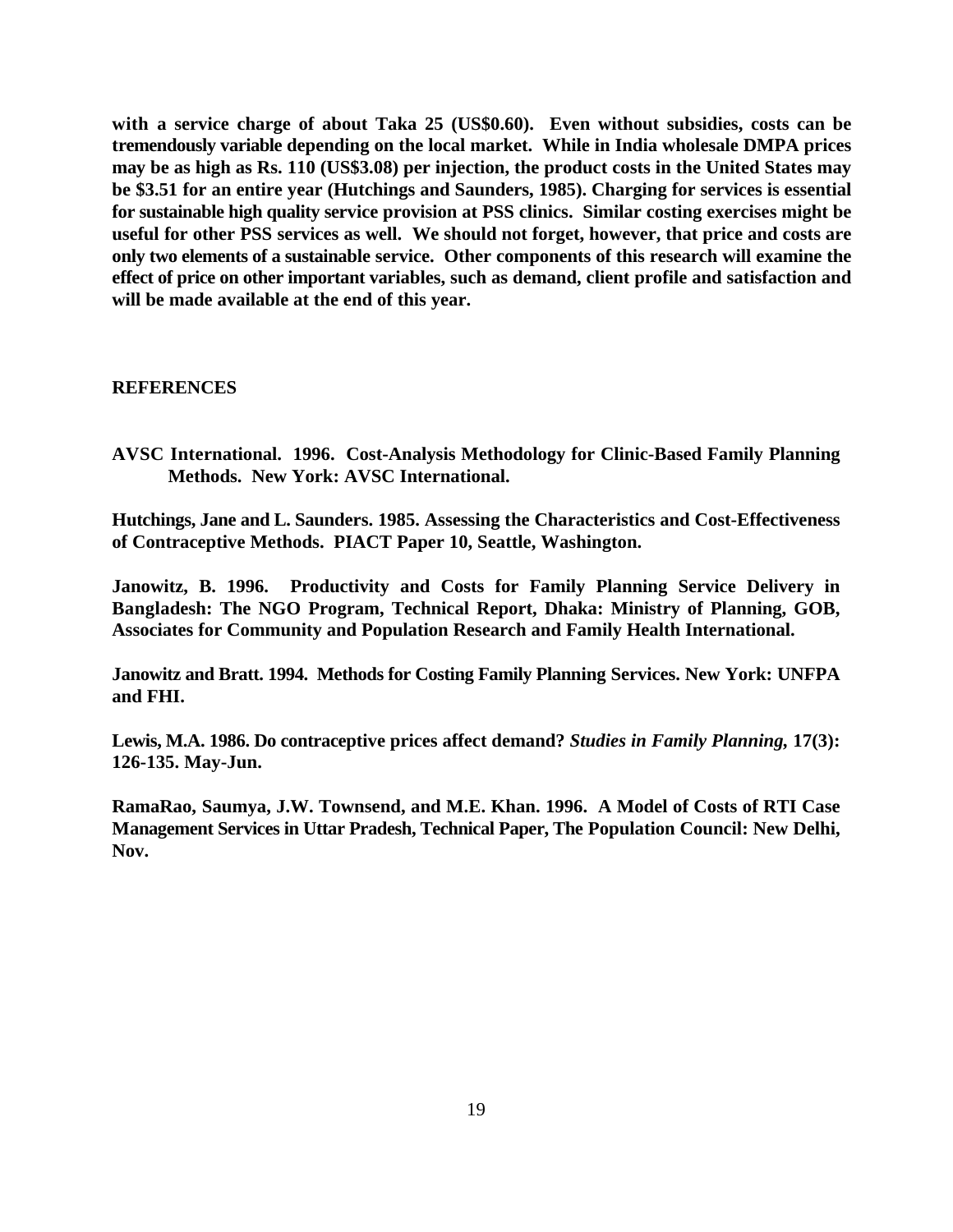**with a service charge of about Taka 25 (US\$0.60). Even without subsidies, costs can be tremendously variable depending on the local market. While in India wholesale DMPA prices may be as high as Rs. 110 (US\$3.08) per injection, the product costs in the United States may be \$3.51 for an entire year (Hutchings and Saunders, 1985). Charging for services is essential for sustainable high quality service provision at PSS clinics. Similar costing exercises might be useful for other PSS services as well. We should not forget, however, that price and costs are only two elements of a sustainable service. Other components of this research will examine the effect of price on other important variables, such as demand, client profile and satisfaction and will be made available at the end of this year.**

#### **REFERENCES**

**AVSC International. 1996. Cost-Analysis Methodology for Clinic-Based Family Planning Methods. New York: AVSC International.**

**Hutchings, Jane and L. Saunders. 1985. Assessing the Characteristics and Cost-Effectiveness of Contraceptive Methods. PIACT Paper 10, Seattle, Washington.**

**Janowitz, B. 1996. Productivity and Costs for Family Planning Service Delivery in Bangladesh: The NGO Program, Technical Report, Dhaka: Ministry of Planning, GOB, Associates for Community and Population Research and Family Health International.**

**Janowitz and Bratt. 1994. Methods for Costing Family Planning Services. New York: UNFPA and FHI.**

**Lewis, M.A. 1986. Do contraceptive prices affect demand?** *Studies in Family Planning,* **17(3): 126-135. May-Jun.**

**RamaRao, Saumya, J.W. Townsend, and M.E. Khan. 1996. A Model of Costs of RTI Case Management Services in Uttar Pradesh, Technical Paper, The Population Council: New Delhi, Nov.**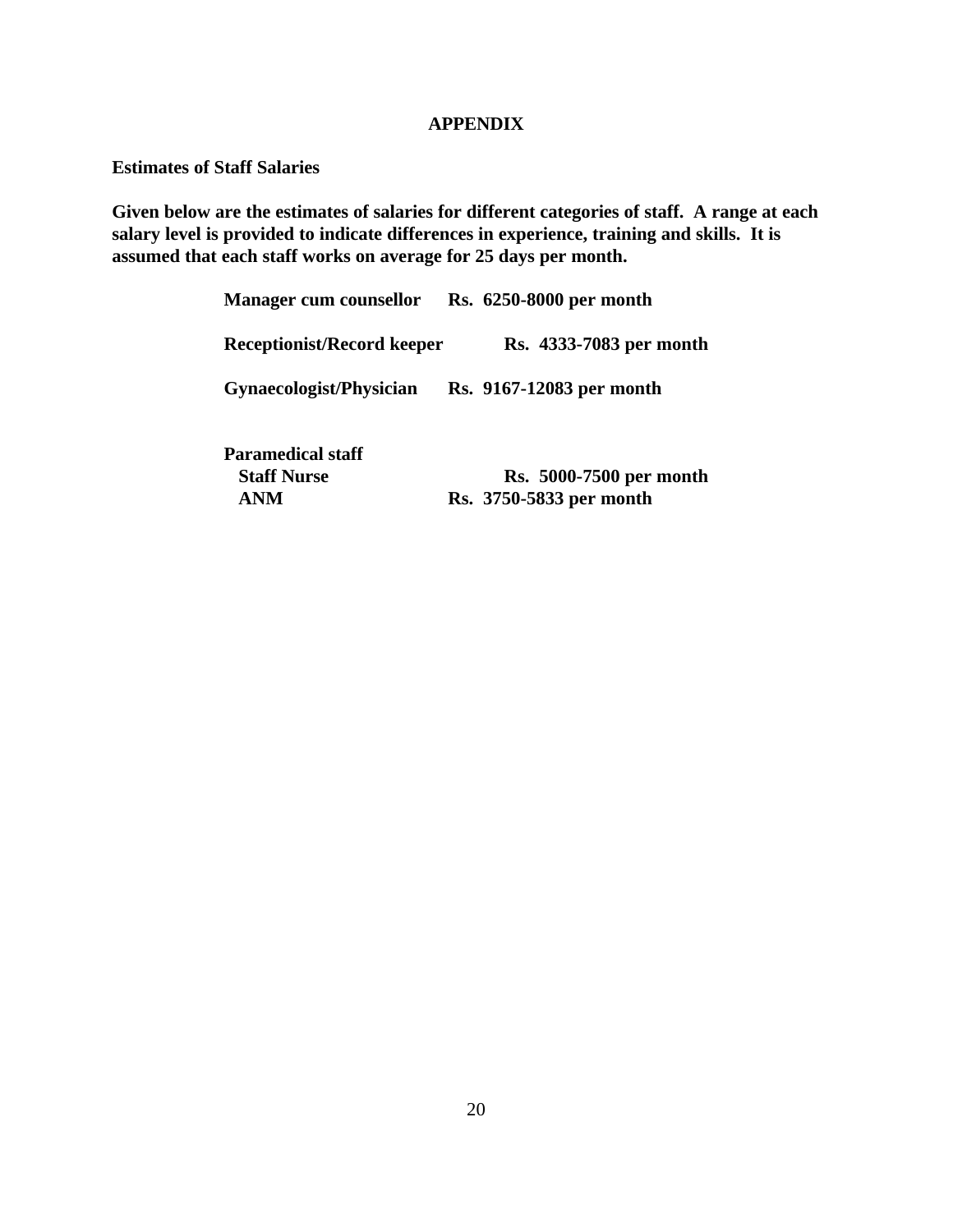#### **APPENDIX**

**Estimates of Staff Salaries**

**Given below are the estimates of salaries for different categories of staff. A range at each salary level is provided to indicate differences in experience, training and skills. It is assumed that each staff works on average for 25 days per month.** 

| <b>Manager cum counsellor</b>                                | Rs. 6250-8000 per month                                   |
|--------------------------------------------------------------|-----------------------------------------------------------|
| <b>Receptionist/Record keeper</b>                            | Rs. 4333-7083 per month                                   |
| Gynaecologist/Physician                                      | Rs. 9167-12083 per month                                  |
| <b>Paramedical staff</b><br><b>Staff Nurse</b><br><b>ANM</b> | <b>Rs.</b> 5000-7500 per month<br>Rs. 3750-5833 per month |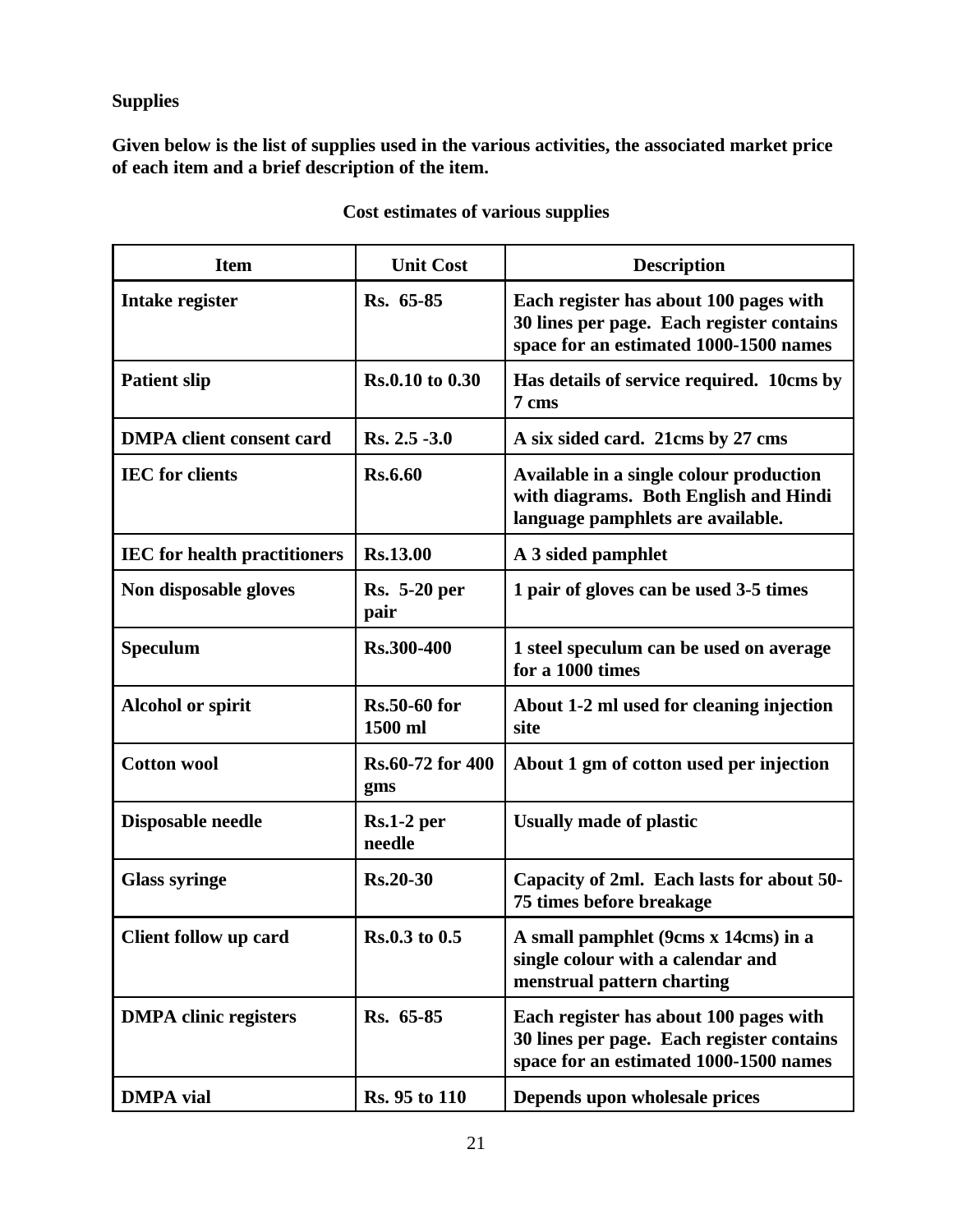**Supplies**

**Given below is the list of supplies used in the various activities, the associated market price of each item and a brief description of the item.**

| <b>Item</b>                         | <b>Unit Cost</b>               | <b>Description</b>                                                                                                            |
|-------------------------------------|--------------------------------|-------------------------------------------------------------------------------------------------------------------------------|
| <b>Intake register</b>              | Rs. 65-85                      | Each register has about 100 pages with<br>30 lines per page. Each register contains<br>space for an estimated 1000-1500 names |
| <b>Patient slip</b>                 | Rs.0.10 to 0.30                | Has details of service required. 10cms by<br>7 cms                                                                            |
| <b>DMPA</b> client consent card     | Rs. 2.5 -3.0                   | A six sided card. 21cms by 27 cms                                                                                             |
| <b>IEC</b> for clients              | <b>Rs.6.60</b>                 | Available in a single colour production<br>with diagrams. Both English and Hindi<br>language pamphlets are available.         |
| <b>IEC</b> for health practitioners | <b>Rs.13.00</b>                | A 3 sided pamphlet                                                                                                            |
| Non disposable gloves               | <b>Rs.</b> 5-20 per<br>pair    | 1 pair of gloves can be used 3-5 times                                                                                        |
| <b>Speculum</b>                     | <b>Rs.300-400</b>              | 1 steel speculum can be used on average<br>for a 1000 times                                                                   |
| <b>Alcohol or spirit</b>            | <b>Rs.50-60 for</b><br>1500 ml | About 1-2 ml used for cleaning injection<br>site                                                                              |
| <b>Cotton wool</b>                  | Rs.60-72 for 400<br>gms        | About 1 gm of cotton used per injection                                                                                       |
| Disposable needle                   | $Rs.1-2$ per<br>needle         | <b>Usually made of plastic</b>                                                                                                |
| <b>Glass syringe</b>                | <b>Rs.20-30</b>                | Capacity of 2ml. Each lasts for about 50-<br>75 times before breakage                                                         |
| <b>Client follow up card</b>        | Rs.0.3 to 0.5                  | A small pamphlet (9cms x 14cms) in a<br>single colour with a calendar and<br>menstrual pattern charting                       |
| <b>DMPA</b> clinic registers        | Rs. 65-85                      | Each register has about 100 pages with<br>30 lines per page. Each register contains<br>space for an estimated 1000-1500 names |
| <b>DMPA</b> vial                    | Rs. 95 to 110                  | Depends upon wholesale prices                                                                                                 |

# **Cost estimates of various supplies**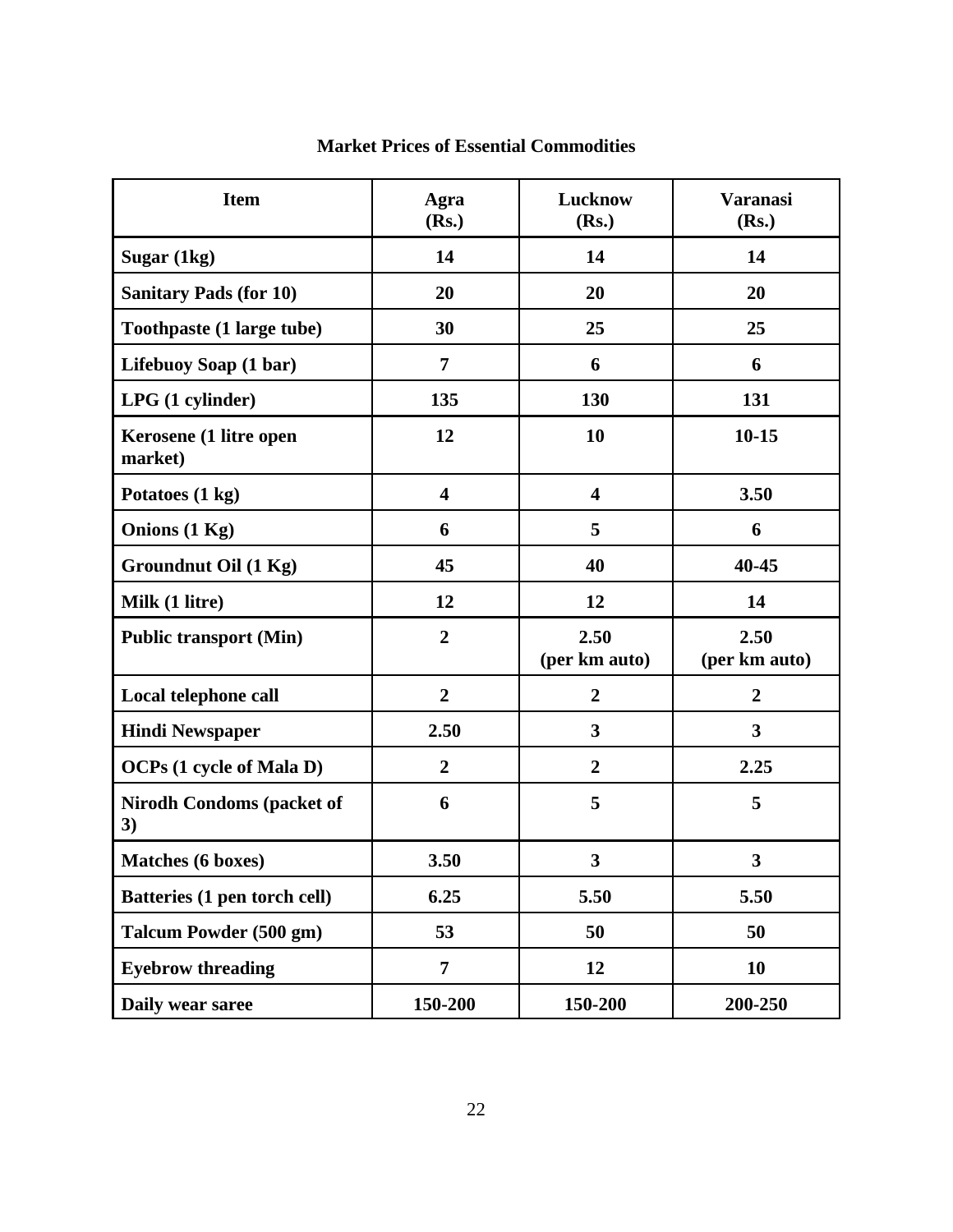| <b>Item</b>                            | Agra<br>(Rs.)           | Lucknow<br>(Rs.)        | <b>Varanasi</b><br>(Rs.) |
|----------------------------------------|-------------------------|-------------------------|--------------------------|
| Sugar (1kg)                            | 14                      | 14                      | 14                       |
| <b>Sanitary Pads (for 10)</b>          | 20                      | 20                      | 20                       |
| Toothpaste (1 large tube)              | 30                      | 25                      | 25                       |
| Lifebuoy Soap (1 bar)                  | $\overline{7}$          | 6                       | 6                        |
| LPG (1 cylinder)                       | 135                     | 130                     | 131                      |
| Kerosene (1 litre open<br>market)      | 12                      | 10                      | $10 - 15$                |
| Potatoes (1 kg)                        | $\overline{\mathbf{4}}$ | $\overline{\mathbf{4}}$ | 3.50                     |
| Onions (1 Kg)                          | 6                       | 5                       | 6                        |
| <b>Groundnut Oil (1 Kg)</b>            | 45                      | 40                      | 40-45                    |
| Milk (1 litre)                         | 12                      | 12                      | 14                       |
| <b>Public transport (Min)</b>          | $\overline{2}$          | 2.50<br>(per km auto)   | 2.50<br>(per km auto)    |
| Local telephone call                   | $\overline{2}$          | $\overline{2}$          | $\overline{2}$           |
| <b>Hindi Newspaper</b>                 | 2.50                    | $\mathbf{3}$            | $\mathbf{3}$             |
| <b>OCPs</b> (1 cycle of Mala D)        | $\overline{2}$          | $\overline{2}$          | 2.25                     |
| <b>Nirodh Condoms (packet of</b><br>3) | 6                       | 5                       | 5                        |
| <b>Matches</b> (6 boxes)               | 3.50                    | 3                       | 3                        |
| Batteries (1 pen torch cell)           | 6.25                    | 5.50                    | 5.50                     |
| Talcum Powder (500 gm)                 | 53                      | 50                      | 50                       |
| <b>Eyebrow threading</b>               | 7                       | 12                      | 10                       |
| Daily wear saree                       | 150-200                 | 150-200                 | 200-250                  |

# **Market Prices of Essential Commodities**